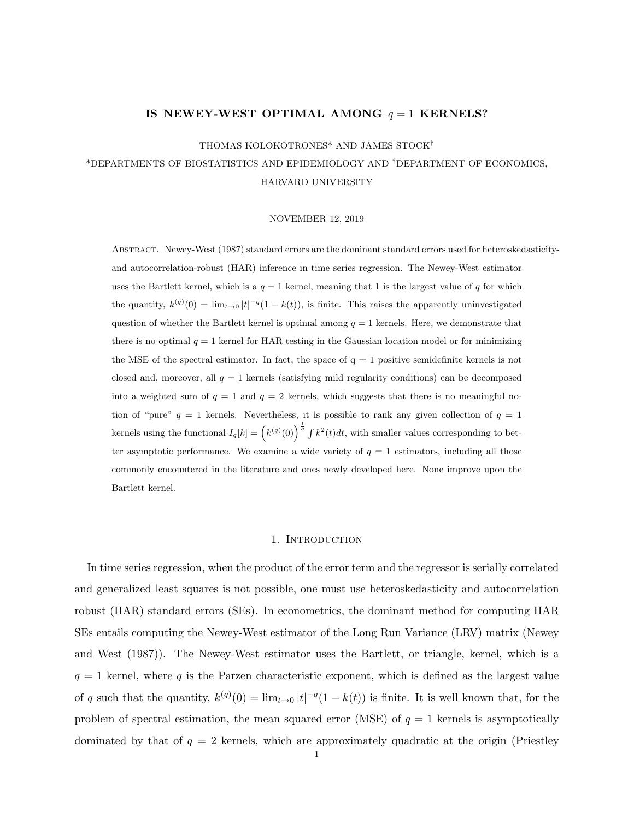### IS NEWEY-WEST OPTIMAL AMONG  $q = 1$  KERNELS?

THOMAS KOLOKOTRONES\* AND JAMES STOCK†

\*DEPARTMENTS OF BIOSTATISTICS AND EPIDEMIOLOGY AND †DEPARTMENT OF ECONOMICS, HARVARD UNIVERSITY

#### NOVEMBER 12, 2019

Abstract. Newey-West (1987) standard errors are the dominant standard errors used for heteroskedasticityand autocorrelation-robust (HAR) inference in time series regression. The Newey-West estimator uses the Bartlett kernel, which is a  $q = 1$  kernel, meaning that 1 is the largest value of q for which the quantity,  $k^{(q)}(0) = \lim_{t\to 0} |t|^{-q} (1 - k(t))$ , is finite. This raises the apparently uninvestigated question of whether the Bartlett kernel is optimal among  $q = 1$  kernels. Here, we demonstrate that there is no optimal  $q = 1$  kernel for HAR testing in the Gaussian location model or for minimizing the MSE of the spectral estimator. In fact, the space of  $q = 1$  positive semidefinite kernels is not closed and, moreover, all  $q = 1$  kernels (satisfying mild regularity conditions) can be decomposed into a weighted sum of  $q = 1$  and  $q = 2$  kernels, which suggests that there is no meaningful notion of "pure"  $q = 1$  kernels. Nevertheless, it is possible to rank any given collection of  $q = 1$ kernels using the functional  $I_q[k] = \left(k^{(q)}(0)\right)^{\frac{1}{q}} \int k^2(t)dt$ , with smaller values corresponding to better asymptotic performance. We examine a wide variety of  $q = 1$  estimators, including all those commonly encountered in the literature and ones newly developed here. None improve upon the Bartlett kernel.

#### 1. INTRODUCTION

In time series regression, when the product of the error term and the regressor is serially correlated and generalized least squares is not possible, one must use heteroskedasticity and autocorrelation robust (HAR) standard errors (SEs). In econometrics, the dominant method for computing HAR SEs entails computing the Newey-West estimator of the Long Run Variance (LRV) matrix (Newey and West (1987)). The Newey-West estimator uses the Bartlett, or triangle, kernel, which is a  $q = 1$  kernel, where q is the Parzen characteristic exponent, which is defined as the largest value of q such that the quantity,  $k^{(q)}(0) = \lim_{t\to 0} |t|^{-q} (1 - k(t))$  is finite. It is well known that, for the problem of spectral estimation, the mean squared error (MSE) of  $q = 1$  kernels is asymptotically dominated by that of  $q = 2$  kernels, which are approximately quadratic at the origin (Priestley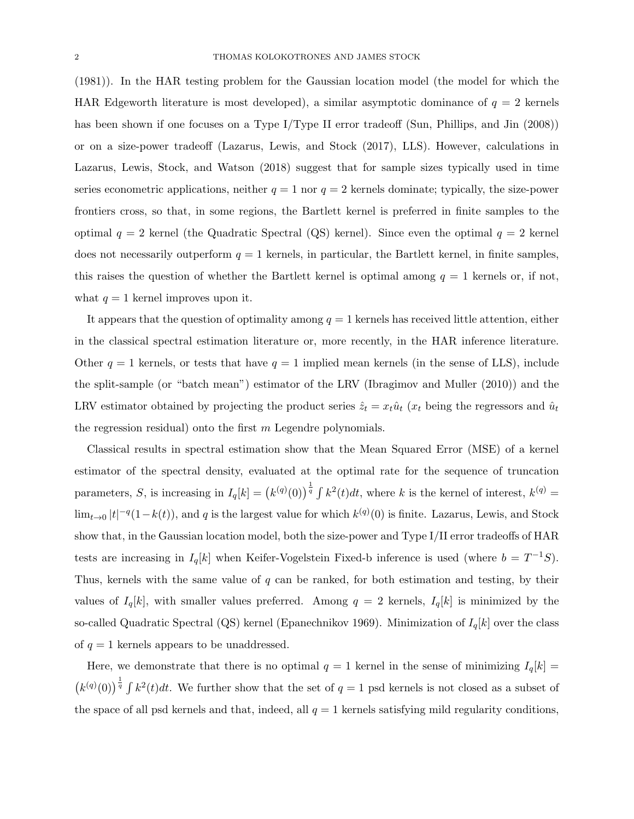(1981)). In the HAR testing problem for the Gaussian location model (the model for which the HAR Edgeworth literature is most developed), a similar asymptotic dominance of  $q = 2$  kernels has been shown if one focuses on a Type I/Type II error tradeoff (Sun, Phillips, and Jin (2008)) or on a size-power tradeoff (Lazarus, Lewis, and Stock (2017), LLS). However, calculations in Lazarus, Lewis, Stock, and Watson (2018) suggest that for sample sizes typically used in time series econometric applications, neither  $q = 1$  nor  $q = 2$  kernels dominate; typically, the size-power frontiers cross, so that, in some regions, the Bartlett kernel is preferred in finite samples to the optimal  $q = 2$  kernel (the Quadratic Spectral (QS) kernel). Since even the optimal  $q = 2$  kernel does not necessarily outperform  $q = 1$  kernels, in particular, the Bartlett kernel, in finite samples, this raises the question of whether the Bartlett kernel is optimal among  $q = 1$  kernels or, if not, what  $q = 1$  kernel improves upon it.

It appears that the question of optimality among  $q = 1$  kernels has received little attention, either in the classical spectral estimation literature or, more recently, in the HAR inference literature. Other  $q = 1$  kernels, or tests that have  $q = 1$  implied mean kernels (in the sense of LLS), include the split-sample (or "batch mean") estimator of the LRV (Ibragimov and Muller (2010)) and the LRV estimator obtained by projecting the product series  $\hat{z}_t = x_t \hat{u}_t$  ( $x_t$  being the regressors and  $\hat{u}_t$ the regression residual) onto the first  $m$  Legendre polynomials.

Classical results in spectral estimation show that the Mean Squared Error (MSE) of a kernel estimator of the spectral density, evaluated at the optimal rate for the sequence of truncation parameters, S, is increasing in  $I_q[k] = (k^{(q)}(0))^{\frac{1}{q}} \int k^2(t)dt$ , where k is the kernel of interest,  $k^{(q)} =$  $\lim_{t\to 0} |t|^{-q}(1-k(t))$ , and q is the largest value for which  $k^{(q)}(0)$  is finite. Lazarus, Lewis, and Stock show that, in the Gaussian location model, both the size-power and Type I/II error tradeoffs of HAR tests are increasing in  $I_q[k]$  when Keifer-Vogelstein Fixed-b inference is used (where  $b = T^{-1}S$ ). Thus, kernels with the same value of  $q$  can be ranked, for both estimation and testing, by their values of  $I_q[k]$ , with smaller values preferred. Among  $q = 2$  kernels,  $I_q[k]$  is minimized by the so-called Quadratic Spectral (QS) kernel (Epanechnikov 1969). Minimization of  $I_q[k]$  over the class of  $q = 1$  kernels appears to be unaddressed.

Here, we demonstrate that there is no optimal  $q = 1$  kernel in the sense of minimizing  $I_q[k] =$  $(k^{(q)}(0))^{\frac{1}{q}}$   $\int k^2(t)dt$ . We further show that the set of  $q=1$  psd kernels is not closed as a subset of the space of all psd kernels and that, indeed, all  $q = 1$  kernels satisfying mild regularity conditions,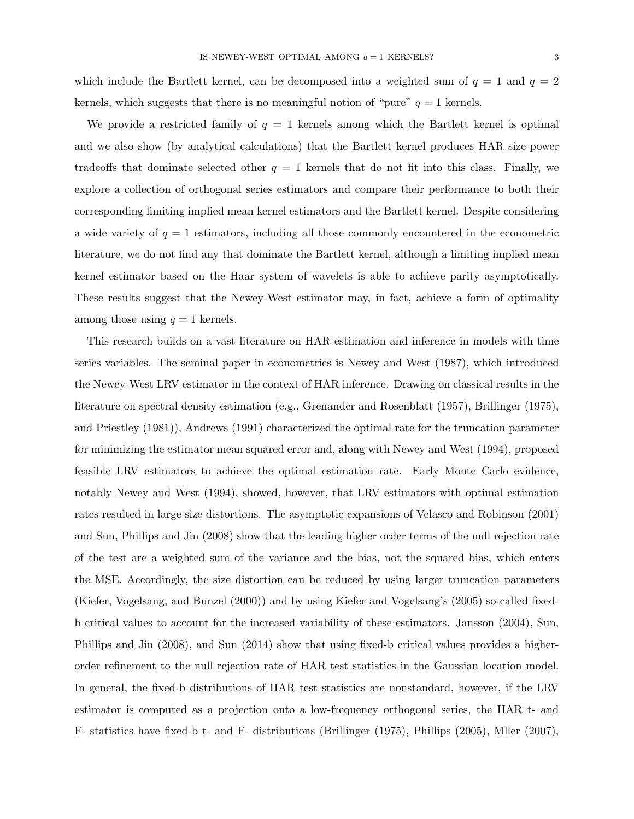which include the Bartlett kernel, can be decomposed into a weighted sum of  $q = 1$  and  $q = 2$ kernels, which suggests that there is no meaningful notion of "pure"  $q = 1$  kernels.

We provide a restricted family of  $q = 1$  kernels among which the Bartlett kernel is optimal and we also show (by analytical calculations) that the Bartlett kernel produces HAR size-power tradeoffs that dominate selected other  $q = 1$  kernels that do not fit into this class. Finally, we explore a collection of orthogonal series estimators and compare their performance to both their corresponding limiting implied mean kernel estimators and the Bartlett kernel. Despite considering a wide variety of  $q = 1$  estimators, including all those commonly encountered in the econometric literature, we do not find any that dominate the Bartlett kernel, although a limiting implied mean kernel estimator based on the Haar system of wavelets is able to achieve parity asymptotically. These results suggest that the Newey-West estimator may, in fact, achieve a form of optimality among those using  $q = 1$  kernels.

This research builds on a vast literature on HAR estimation and inference in models with time series variables. The seminal paper in econometrics is Newey and West (1987), which introduced the Newey-West LRV estimator in the context of HAR inference. Drawing on classical results in the literature on spectral density estimation (e.g., Grenander and Rosenblatt (1957), Brillinger (1975), and Priestley (1981)), Andrews (1991) characterized the optimal rate for the truncation parameter for minimizing the estimator mean squared error and, along with Newey and West (1994), proposed feasible LRV estimators to achieve the optimal estimation rate. Early Monte Carlo evidence, notably Newey and West (1994), showed, however, that LRV estimators with optimal estimation rates resulted in large size distortions. The asymptotic expansions of Velasco and Robinson (2001) and Sun, Phillips and Jin (2008) show that the leading higher order terms of the null rejection rate of the test are a weighted sum of the variance and the bias, not the squared bias, which enters the MSE. Accordingly, the size distortion can be reduced by using larger truncation parameters (Kiefer, Vogelsang, and Bunzel (2000)) and by using Kiefer and Vogelsang's (2005) so-called fixedb critical values to account for the increased variability of these estimators. Jansson (2004), Sun, Phillips and Jin (2008), and Sun (2014) show that using fixed-b critical values provides a higherorder refinement to the null rejection rate of HAR test statistics in the Gaussian location model. In general, the fixed-b distributions of HAR test statistics are nonstandard, however, if the LRV estimator is computed as a projection onto a low-frequency orthogonal series, the HAR t- and F- statistics have fixed-b t- and F- distributions (Brillinger (1975), Phillips (2005), Mller (2007),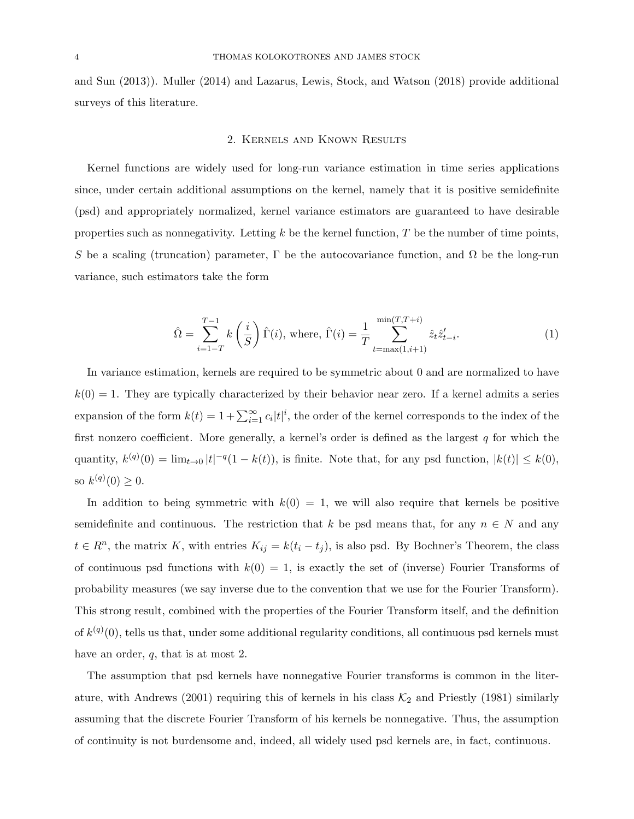and Sun (2013)). Muller (2014) and Lazarus, Lewis, Stock, and Watson (2018) provide additional surveys of this literature.

#### 2. Kernels and Known Results

Kernel functions are widely used for long-run variance estimation in time series applications since, under certain additional assumptions on the kernel, namely that it is positive semidefinite (psd) and appropriately normalized, kernel variance estimators are guaranteed to have desirable properties such as nonnegativity. Letting  $k$  be the kernel function,  $T$  be the number of time points, S be a scaling (truncation) parameter,  $\Gamma$  be the autocovariance function, and  $\Omega$  be the long-run variance, such estimators take the form

$$
\hat{\Omega} = \sum_{i=1-T}^{T-1} k\left(\frac{i}{S}\right) \hat{\Gamma}(i), \text{ where, } \hat{\Gamma}(i) = \frac{1}{T} \sum_{t=\max(1,i+1)}^{\min(T,T+i)} \hat{z}_t \hat{z}_{t-i}^{\prime}.
$$
 (1)

In variance estimation, kernels are required to be symmetric about 0 and are normalized to have  $k(0) = 1$ . They are typically characterized by their behavior near zero. If a kernel admits a series expansion of the form  $k(t) = 1 + \sum_{i=1}^{\infty} c_i |t|^i$ , the order of the kernel corresponds to the index of the first nonzero coefficient. More generally, a kernel's order is defined as the largest  $q$  for which the quantity,  $k^{(q)}(0) = \lim_{t \to 0} |t|^{-q} (1 - k(t))$ , is finite. Note that, for any psd function,  $|k(t)| \leq k(0)$ , so  $k^{(q)}(0) \geq 0$ .

In addition to being symmetric with  $k(0) = 1$ , we will also require that kernels be positive semidefinite and continuous. The restriction that k be psd means that, for any  $n \in N$  and any  $t \in R<sup>n</sup>$ , the matrix K, with entries  $K_{ij} = k(t_i - t_j)$ , is also psd. By Bochner's Theorem, the class of continuous psd functions with  $k(0) = 1$ , is exactly the set of (inverse) Fourier Transforms of probability measures (we say inverse due to the convention that we use for the Fourier Transform). This strong result, combined with the properties of the Fourier Transform itself, and the definition of  $k^{(q)}(0)$ , tells us that, under some additional regularity conditions, all continuous psd kernels must have an order,  $q$ , that is at most 2.

The assumption that psd kernels have nonnegative Fourier transforms is common in the literature, with Andrews (2001) requiring this of kernels in his class  $\mathcal{K}_2$  and Priestly (1981) similarly assuming that the discrete Fourier Transform of his kernels be nonnegative. Thus, the assumption of continuity is not burdensome and, indeed, all widely used psd kernels are, in fact, continuous.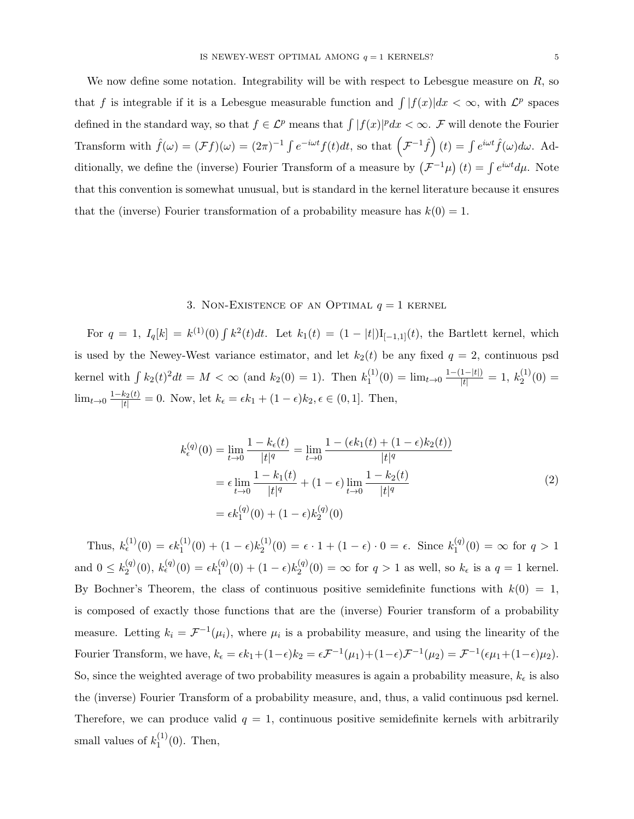We now define some notation. Integrability will be with respect to Lebesgue measure on  $R$ , so that f is integrable if it is a Lebesgue measurable function and  $\int |f(x)|dx < \infty$ , with  $\mathcal{L}^p$  spaces defined in the standard way, so that  $f \in \mathcal{L}^p$  means that  $\int |f(x)|^p dx < \infty$ . F will denote the Fourier Transform with  $\hat{f}(\omega) = (\mathcal{F}f)(\omega) = (2\pi)^{-1} \int e^{-i\omega t} f(t) dt$ , so that  $(\mathcal{F}^{-1}\hat{f})(t) = \int e^{i\omega t} \hat{f}(\omega) d\omega$ . Additionally, we define the (inverse) Fourier Transform of a measure by  $(\mathcal{F}^{-1}\mu)(t) = \int e^{i\omega t} d\mu$ . Note that this convention is somewhat unusual, but is standard in the kernel literature because it ensures that the (inverse) Fourier transformation of a probability measure has  $k(0) = 1$ .

### 3. NON-EXISTENCE OF AN OPTIMAL  $q = 1$  kernel

For  $q = 1$ ,  $I_q[k] = k^{(1)}(0) \int k^2(t)dt$ . Let  $k_1(t) = (1 - |t|)I_{[-1,1]}(t)$ , the Bartlett kernel, which is used by the Newey-West variance estimator, and let  $k_2(t)$  be any fixed  $q = 2$ , continuous psd kernel with  $\int k_2(t)^2 dt = M < \infty$  (and  $k_2(0) = 1$ ). Then  $k_1^{(1)}$  $y_1^{(1)}(0) = \lim_{t \to 0} \frac{1-(1-|t|)}{|t|} = 1, k_2^{(1)}$  $2^{(1)}(0) =$  $\lim_{t\to 0} \frac{1-k_2(t)}{|t|} = 0$ . Now, let  $k_{\epsilon} = \epsilon k_1 + (1-\epsilon)k_2, \epsilon \in (0,1]$ . Then,

$$
k_{\epsilon}^{(q)}(0) = \lim_{t \to 0} \frac{1 - k_{\epsilon}(t)}{|t|^{q}} = \lim_{t \to 0} \frac{1 - (\epsilon k_{1}(t) + (1 - \epsilon)k_{2}(t))}{|t|^{q}}
$$
  

$$
= \epsilon \lim_{t \to 0} \frac{1 - k_{1}(t)}{|t|^{q}} + (1 - \epsilon) \lim_{t \to 0} \frac{1 - k_{2}(t)}{|t|^{q}}
$$
  

$$
= \epsilon k_{1}^{(q)}(0) + (1 - \epsilon)k_{2}^{(q)}(0)
$$
 (2)

Thus,  $k_{\epsilon}^{(1)}(0) = \epsilon k_1^{(1)}(0) + (1 - \epsilon)k_2^{(1)}$  $\zeta_2^{(1)}(0) = \epsilon \cdot 1 + (1 - \epsilon) \cdot 0 = \epsilon$ . Since  $k_1^{(q)}$  $j_1^{(q)}(0) = \infty$  for  $q > 1$ and  $0 \leq k_2^{(q)}$  $\chi_2^{(q)}(0),\ k_{\epsilon}^{(q)}(0)=\epsilon k_1^{(q)}(0)+(1-\epsilon)k_2^{(q)}$  $\chi_2^{(q)}(0) = \infty$  for  $q > 1$  as well, so  $k_{\epsilon}$  is a  $q = 1$  kernel. By Bochner's Theorem, the class of continuous positive semidefinite functions with  $k(0) = 1$ , is composed of exactly those functions that are the (inverse) Fourier transform of a probability measure. Letting  $k_i = \mathcal{F}^{-1}(\mu_i)$ , where  $\mu_i$  is a probability measure, and using the linearity of the Fourier Transform, we have,  $k_{\epsilon} = \epsilon k_1 + (1 - \epsilon)k_2 = \epsilon \mathcal{F}^{-1}(\mu_1) + (1 - \epsilon)\mathcal{F}^{-1}(\mu_2) = \mathcal{F}^{-1}(\epsilon \mu_1 + (1 - \epsilon)\mu_2)$ . So, since the weighted average of two probability measures is again a probability measure,  $k_{\epsilon}$  is also the (inverse) Fourier Transform of a probability measure, and, thus, a valid continuous psd kernel. Therefore, we can produce valid  $q = 1$ , continuous positive semidefinite kernels with arbitrarily small values of  $k_1^{(1)}$  $_1^{(1)}(0)$ . Then,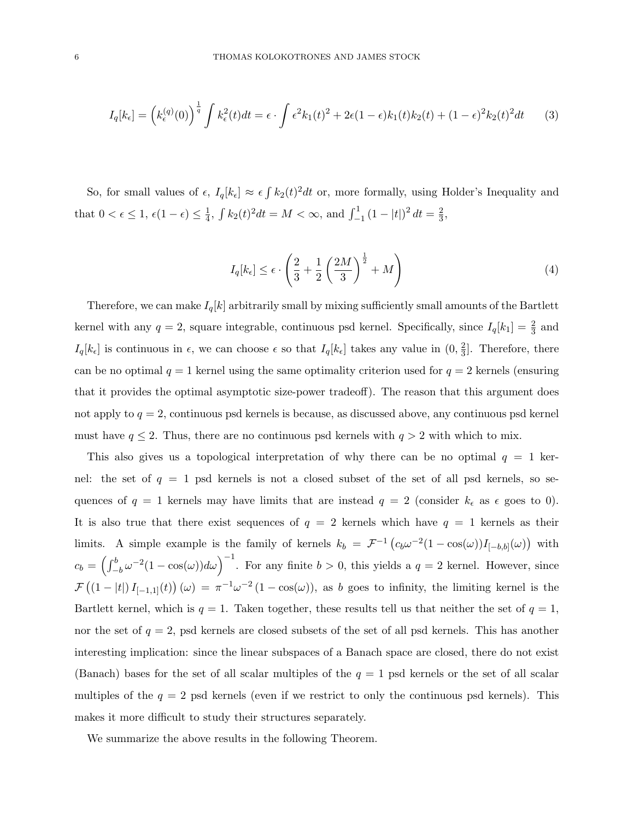$$
I_q[k_{\epsilon}] = \left(k_{\epsilon}^{(q)}(0)\right)^{\frac{1}{q}} \int k_{\epsilon}^2(t)dt = \epsilon \cdot \int \epsilon^2 k_1(t)^2 + 2\epsilon (1-\epsilon)k_1(t)k_2(t) + (1-\epsilon)^2 k_2(t)^2 dt \tag{3}
$$

So, for small values of  $\epsilon$ ,  $I_q[k_{\epsilon}] \approx \epsilon \int k_2(t)^2 dt$  or, more formally, using Holder's Inequality and that  $0 < \epsilon \leq 1, \, \epsilon(1-\epsilon) \leq \frac{1}{4}$  $\frac{1}{4}$ ,  $\int k_2(t)^2 dt = M < \infty$ , and  $\int_{-1}^{1} (1 - |t|)^2 dt = \frac{2}{3}$  $\frac{2}{3}$ ,

$$
I_q[k_{\epsilon}] \le \epsilon \cdot \left(\frac{2}{3} + \frac{1}{2} \left(\frac{2M}{3}\right)^{\frac{1}{2}} + M\right) \tag{4}
$$

Therefore, we can make  $I_q[k]$  arbitrarily small by mixing sufficiently small amounts of the Bartlett kernel with any  $q = 2$ , square integrable, continuous psd kernel. Specifically, since  $I_q[k_1] = \frac{2}{3}$  and  $I_q[k_\epsilon]$  is continuous in  $\epsilon$ , we can choose  $\epsilon$  so that  $I_q[k_\epsilon]$  takes any value in  $(0, \frac{2}{3})$  $\frac{2}{3}$ . Therefore, there can be no optimal  $q = 1$  kernel using the same optimality criterion used for  $q = 2$  kernels (ensuring that it provides the optimal asymptotic size-power tradeoff). The reason that this argument does not apply to  $q = 2$ , continuous psd kernels is because, as discussed above, any continuous psd kernel must have  $q \leq 2$ . Thus, there are no continuous psd kernels with  $q > 2$  with which to mix.

This also gives us a topological interpretation of why there can be no optimal  $q = 1$  kernel: the set of  $q = 1$  psd kernels is not a closed subset of the set of all psd kernels, so sequences of  $q = 1$  kernels may have limits that are instead  $q = 2$  (consider  $k_{\epsilon}$  as  $\epsilon$  goes to 0). It is also true that there exist sequences of  $q = 2$  kernels which have  $q = 1$  kernels as their limits. A simple example is the family of kernels  $k_b = \mathcal{F}^{-1} \left( c_b \omega^{-2} (1 - \cos(\omega)) I_{[-b,b]}(\omega) \right)$  with  $c_b = \left(\int_{-b}^{b} \omega^{-2} (1 - \cos(\omega)) d\omega\right)^{-1}$ . For any finite  $b > 0$ , this yields a  $q = 2$  kernel. However, since  $\mathcal{F}((1-|t|)I_{[-1,1]}(t))(\omega) = \pi^{-1}\omega^{-2}(1-\cos(\omega))$ , as b goes to infinity, the limiting kernel is the Bartlett kernel, which is  $q = 1$ . Taken together, these results tell us that neither the set of  $q = 1$ , nor the set of  $q = 2$ , psd kernels are closed subsets of the set of all psd kernels. This has another interesting implication: since the linear subspaces of a Banach space are closed, there do not exist (Banach) bases for the set of all scalar multiples of the  $q = 1$  psd kernels or the set of all scalar multiples of the  $q = 2$  psd kernels (even if we restrict to only the continuous psd kernels). This makes it more difficult to study their structures separately.

We summarize the above results in the following Theorem.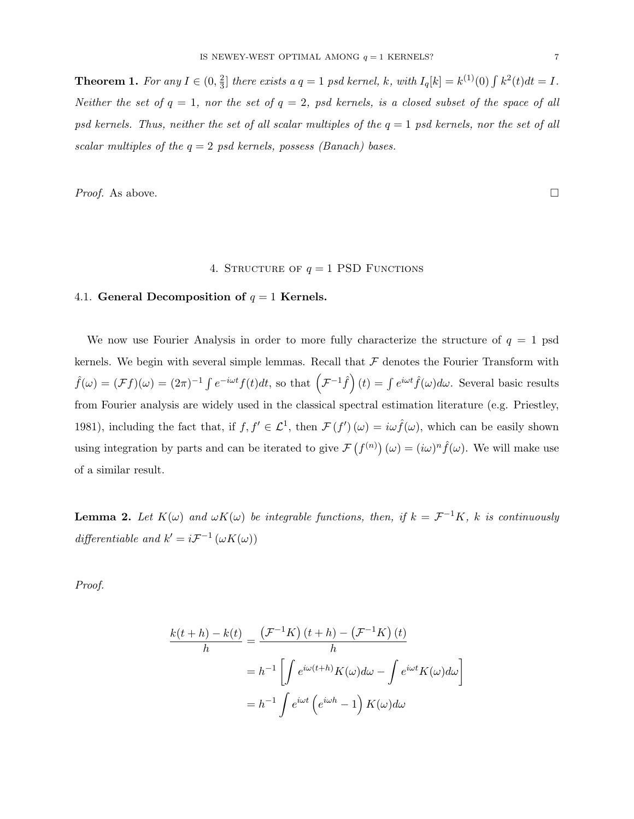**Theorem 1.** For any  $I \in (0, \frac{2}{3})$  $\frac{2}{3}$  there exists a  $q = 1$  psd kernel, k, with  $I_q[k] = k^{(1)}(0) \int k^2(t) dt = I$ . Neither the set of  $q = 1$ , nor the set of  $q = 2$ , psd kernels, is a closed subset of the space of all psd kernels. Thus, neither the set of all scalar multiples of the  $q = 1$  psd kernels, nor the set of all scalar multiples of the  $q = 2$  psd kernels, possess (Banach) bases.

*Proof.* As above.  $\Box$ 

# 4. STRUCTURE OF  $q = 1$  PSD FUNCTIONS

## 4.1. General Decomposition of  $q = 1$  Kernels.

We now use Fourier Analysis in order to more fully characterize the structure of  $q = 1$  psd kernels. We begin with several simple lemmas. Recall that  $\mathcal F$  denotes the Fourier Transform with  $\hat{f}(\omega) = (\mathcal{F}f)(\omega) = (2\pi)^{-1} \int e^{-i\omega t} f(t) dt$ , so that  $(\mathcal{F}^{-1}\hat{f})(t) = \int e^{i\omega t} \hat{f}(\omega) d\omega$ . Several basic results from Fourier analysis are widely used in the classical spectral estimation literature (e.g. Priestley, 1981), including the fact that, if  $f, f' \in \mathcal{L}^1$ , then  $\mathcal{F}(f')(\omega) = i\omega \hat{f}(\omega)$ , which can be easily shown using integration by parts and can be iterated to give  $\mathcal{F}(f^{(n)})(\omega) = (i\omega)^n \hat{f}(\omega)$ . We will make use of a similar result.

**Lemma 2.** Let  $K(\omega)$  and  $\omega K(\omega)$  be integrable functions, then, if  $k = \mathcal{F}^{-1}K$ , k is continuously differentiable and  $k' = i \mathcal{F}^{-1}(\omega K(\omega))$ 

Proof.

$$
\frac{k(t+h) - k(t)}{h} = \frac{(\mathcal{F}^{-1}K)(t+h) - (\mathcal{F}^{-1}K)(t)}{h}
$$

$$
= h^{-1} \left[ \int e^{i\omega(t+h)} K(\omega) d\omega - \int e^{i\omega t} K(\omega) d\omega \right]
$$

$$
= h^{-1} \int e^{i\omega t} \left( e^{i\omega h} - 1 \right) K(\omega) d\omega
$$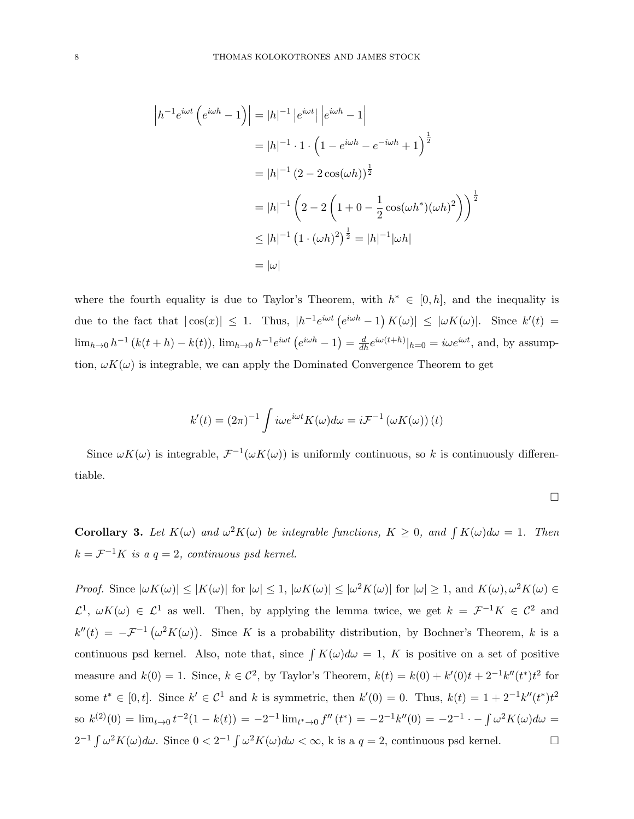$$
|h^{-1}e^{i\omega t} (e^{i\omega h} - 1)| = |h|^{-1} |e^{i\omega t}| |e^{i\omega h} - 1|
$$
  
= |h|^{-1} \cdot 1 \cdot (1 - e^{i\omega h} - e^{-i\omega h} + 1)<sup>1/2</sup>  
= |h|^{-1} (2 - 2 cos(\omega h))<sup>1/2</sup>  
= |h|^{-1} (2 - 2 (1 + 0 - \frac{1}{2} cos(\omega h^\*)(\omega h)^2))<sup>1/2</sup>  
 $\leq |h|^{-1} (1 \cdot (\omega h)^2)^{\frac{1}{2}} = |h|^{-1} |\omega h|$   
= |\omega|

where the fourth equality is due to Taylor's Theorem, with  $h^* \in [0, h]$ , and the inequality is due to the fact that  $|\cos(x)| \leq 1$ . Thus,  $|h^{-1}e^{i\omega t}(e^{i\omega h}-1)K(\omega)| \leq |\omega K(\omega)|$ . Since  $k'(t)$  $\lim_{h\to 0}h^{-1}(k(t+h)-k(t)), \lim_{h\to 0}h^{-1}e^{i\omega t}(e^{i\omega h}-1)=\frac{d}{dh}e^{i\omega(t+h)}|_{h=0}=i\omega e^{i\omega t}$ , and, by assumption,  $\omega K(\omega)$  is integrable, we can apply the Dominated Convergence Theorem to get

$$
k'(t) = (2\pi)^{-1} \int i\omega e^{i\omega t} K(\omega) d\omega = i \mathcal{F}^{-1} (\omega K(\omega)) (t)
$$

Since  $\omega K(\omega)$  is integrable,  $\mathcal{F}^{-1}(\omega K(\omega))$  is uniformly continuous, so k is continuously differentiable.

$$
\Box
$$

**Corollary 3.** Let  $K(\omega)$  and  $\omega^2 K(\omega)$  be integrable functions,  $K \geq 0$ , and  $\int K(\omega) d\omega = 1$ . Then  $k = \mathcal{F}^{-1}K$  is a  $q = 2$ , continuous psd kernel.

Proof. Since  $|\omega K(\omega)| \leq |K(\omega)|$  for  $|\omega| \leq 1$ ,  $|\omega K(\omega)| \leq |\omega^2 K(\omega)|$  for  $|\omega| \geq 1$ , and  $K(\omega), \omega^2 K(\omega) \in$  $\mathcal{L}^1$ ,  $\omega K(\omega) \in \mathcal{L}^1$  as well. Then, by applying the lemma twice, we get  $k = \mathcal{F}^{-1}K \in \mathcal{C}^2$  and  $k''(t) = -\mathcal{F}^{-1}(\omega^2 K(\omega))$ . Since K is a probability distribution, by Bochner's Theorem, k is a continuous psd kernel. Also, note that, since  $\int K(\omega) d\omega = 1$ , K is positive on a set of positive measure and  $k(0) = 1$ . Since,  $k \in \mathbb{C}^2$ , by Taylor's Theorem,  $k(t) = k(0) + k'(0)t + 2^{-1}k''(t^*)t^2$  for some  $t^* \in [0, t]$ . Since  $k' \in \mathcal{C}^1$  and k is symmetric, then  $k'(0) = 0$ . Thus,  $k(t) = 1 + 2^{-1}k''(t^*)t^2$ so  $k^{(2)}(0) = \lim_{t \to 0} t^{-2}(1 - k(t)) = -2^{-1} \lim_{t \to 0} f''(t^*) = -2^{-1}k''(0) = -2^{-1} \cdot -\int \omega^2 K(\omega) d\omega =$  $2^{-1} \int \omega^2 K(\omega) d\omega$ . Since  $0 < 2^{-1} \int \omega^2 K(\omega) d\omega < \infty$ , k is a  $q = 2$ , continuous psd kernel.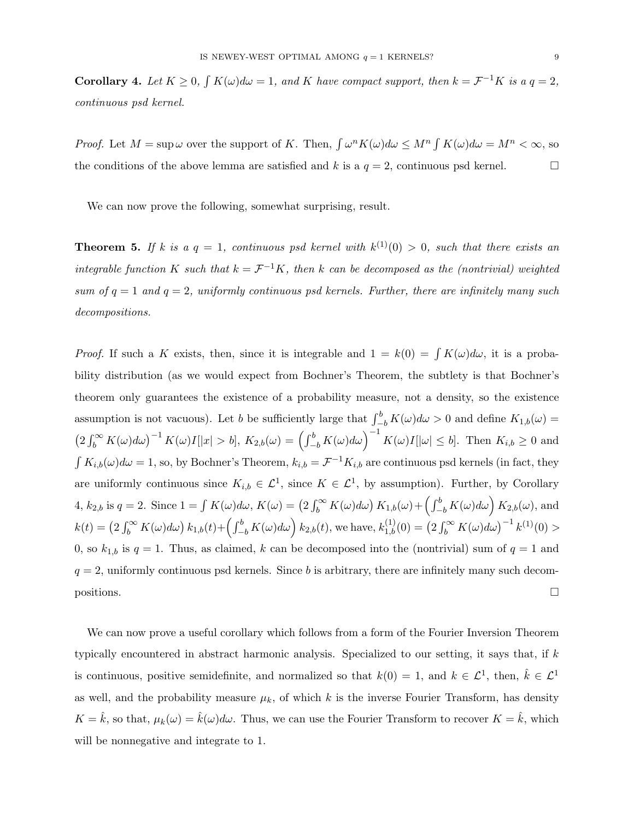**Corollary 4.** Let  $K \geq 0$ ,  $\int K(\omega) d\omega = 1$ , and K have compact support, then  $k = \mathcal{F}^{-1}K$  is a  $q = 2$ , continuous psd kernel.

*Proof.* Let  $M = \sup \omega$  over the support of K. Then,  $\int \omega^n K(\omega) d\omega \leq M^n \int K(\omega) d\omega = M^n < \infty$ , so the conditions of the above lemma are satisfied and k is a  $q = 2$ , continuous psd kernel.

We can now prove the following, somewhat surprising, result.

**Theorem 5.** If k is a  $q = 1$ , continuous psd kernel with  $k^{(1)}(0) > 0$ , such that there exists an integrable function K such that  $k = \mathcal{F}^{-1}K$ , then k can be decomposed as the (nontrivial) weighted sum of  $q = 1$  and  $q = 2$ , uniformly continuous psd kernels. Further, there are infinitely many such decompositions.

*Proof.* If such a K exists, then, since it is integrable and  $1 = k(0) = \int K(\omega) d\omega$ , it is a probability distribution (as we would expect from Bochner's Theorem, the subtlety is that Bochner's theorem only guarantees the existence of a probability measure, not a density, so the existence assumption is not vacuous). Let b be sufficiently large that  $\int_{-b}^{b} K(\omega) d\omega > 0$  and define  $K_{1,b}(\omega)$  =  $\left(2\int_b^{\infty} K(\omega)d\omega\right)^{-1} K(\omega)I[|x|>b], K_{2,b}(\omega)=\left(\int_{-b}^b K(\omega)d\omega\right)^{-1} K(\omega)I[|\omega|\leq b].$  Then  $K_{i,b}\geq 0$  and  $\int K_{i,b}(\omega)d\omega = 1$ , so, by Bochner's Theorem,  $k_{i,b} = \mathcal{F}^{-1}K_{i,b}$  are continuous psd kernels (in fact, they are uniformly continuous since  $K_{i,b} \in \mathcal{L}^1$ , since  $K \in \mathcal{L}^1$ , by assumption). Further, by Corollary  $4, k_{2,b}$  is  $q = 2$ . Since  $1 = \int K(\omega) d\omega$ ,  $K(\omega) = (2 \int_b^{\infty} K(\omega) d\omega) K_{1,b}(\omega) + (\int_{-b}^{b} K(\omega) d\omega) K_{2,b}(\omega)$ , and  $k(t) = (2 \int_b^{\infty} K(\omega) d\omega) k_{1,b}(t) + (\int_{-b}^{b} K(\omega) d\omega) k_{2,b}(t)$ , we have,  $k_{1,b}^{(1)}(0) = (2 \int_b^{\infty} K(\omega) d\omega)^{-1} k^{(1)}(0) >$ 0, so  $k_{1,b}$  is  $q = 1$ . Thus, as claimed, k can be decomposed into the (nontrivial) sum of  $q = 1$  and  $q = 2$ , uniformly continuous psd kernels. Since b is arbitrary, there are infinitely many such decom- $\Box$  positions.

We can now prove a useful corollary which follows from a form of the Fourier Inversion Theorem typically encountered in abstract harmonic analysis. Specialized to our setting, it says that, if k is continuous, positive semidefinite, and normalized so that  $k(0) = 1$ , and  $k \in \mathcal{L}^1$ , then,  $\hat{k} \in \mathcal{L}^1$ as well, and the probability measure  $\mu_k$ , of which k is the inverse Fourier Transform, has density  $K = \hat{k}$ , so that,  $\mu_k(\omega) = \hat{k}(\omega) d\omega$ . Thus, we can use the Fourier Transform to recover  $K = \hat{k}$ , which will be nonnegative and integrate to 1.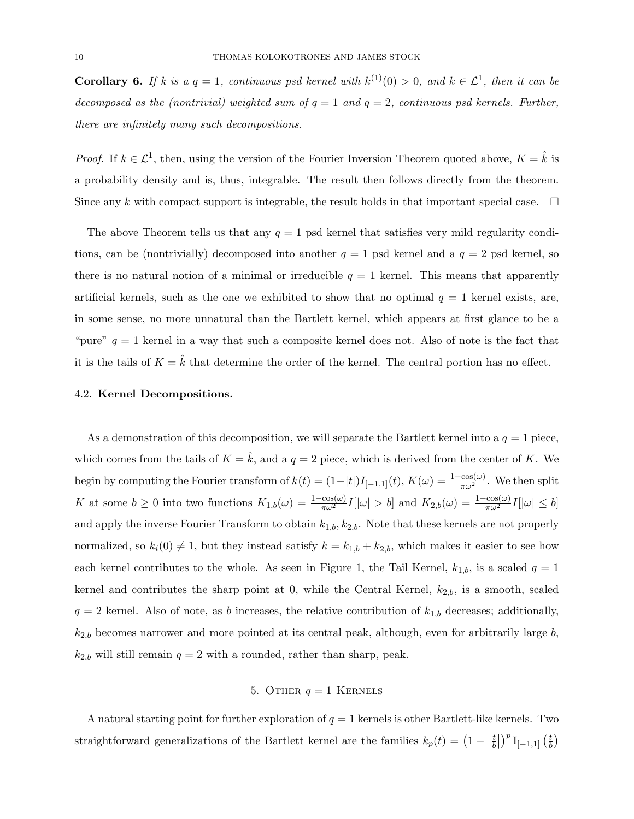**Corollary 6.** If k is a  $q = 1$ , continuous psd kernel with  $k^{(1)}(0) > 0$ , and  $k \in \mathcal{L}^1$ , then it can be decomposed as the (nontrivial) weighted sum of  $q = 1$  and  $q = 2$ , continuous psd kernels. Further, there are infinitely many such decompositions.

*Proof.* If  $k \in \mathcal{L}^1$ , then, using the version of the Fourier Inversion Theorem quoted above,  $K = \hat{k}$  is a probability density and is, thus, integrable. The result then follows directly from the theorem. Since any k with compact support is integrable, the result holds in that important special case.  $\Box$ 

The above Theorem tells us that any  $q = 1$  psd kernel that satisfies very mild regularity conditions, can be (nontrivially) decomposed into another  $q = 1$  psd kernel and a  $q = 2$  psd kernel, so there is no natural notion of a minimal or irreducible  $q = 1$  kernel. This means that apparently artificial kernels, such as the one we exhibited to show that no optimal  $q = 1$  kernel exists, are, in some sense, no more unnatural than the Bartlett kernel, which appears at first glance to be a "pure"  $q = 1$  kernel in a way that such a composite kernel does not. Also of note is the fact that it is the tails of  $K = \hat{k}$  that determine the order of the kernel. The central portion has no effect.

### 4.2. Kernel Decompositions.

As a demonstration of this decomposition, we will separate the Bartlett kernel into a  $q = 1$  piece, which comes from the tails of  $K = \hat{k}$ , and a  $q = 2$  piece, which is derived from the center of K. We begin by computing the Fourier transform of  $k(t) = (1-|t|)I_{[-1,1]}(t)$ ,  $K(\omega) = \frac{1-\cos(\omega)}{\pi \omega^2}$ . We then split K at some  $b \ge 0$  into two functions  $K_{1,b}(\omega) = \frac{1-\cos(\omega)}{\pi \omega^2} I[|\omega| > b]$  and  $K_{2,b}(\omega) = \frac{1-\cos(\omega)}{\pi \omega^2} I[|\omega| \le b]$ and apply the inverse Fourier Transform to obtain  $k_{1,b}$ ,  $k_{2,b}$ . Note that these kernels are not properly normalized, so  $k_i(0) \neq 1$ , but they instead satisfy  $k = k_{1,b} + k_{2,b}$ , which makes it easier to see how each kernel contributes to the whole. As seen in Figure 1, the Tail Kernel,  $k_{1,b}$ , is a scaled  $q = 1$ kernel and contributes the sharp point at 0, while the Central Kernel,  $k_{2,b}$ , is a smooth, scaled  $q = 2$  kernel. Also of note, as b increases, the relative contribution of  $k_{1,b}$  decreases; additionally,  $k_{2,b}$  becomes narrower and more pointed at its central peak, although, even for arbitrarily large  $b$ ,  $k_{2,b}$  will still remain  $q = 2$  with a rounded, rather than sharp, peak.

### 5. OTHER  $q = 1$  KERNELS

A natural starting point for further exploration of  $q = 1$  kernels is other Bartlett-like kernels. Two straightforward generalizations of the Bartlett kernel are the families  $k_p(t) = \left(1 - \left|\frac{t}{b}\right|\right)$  $\left(\frac{t}{b}\right)^p$   $\text{I}_{[-1,1]}$   $\left(\frac{t}{b}\right)$  $\frac{t}{b}$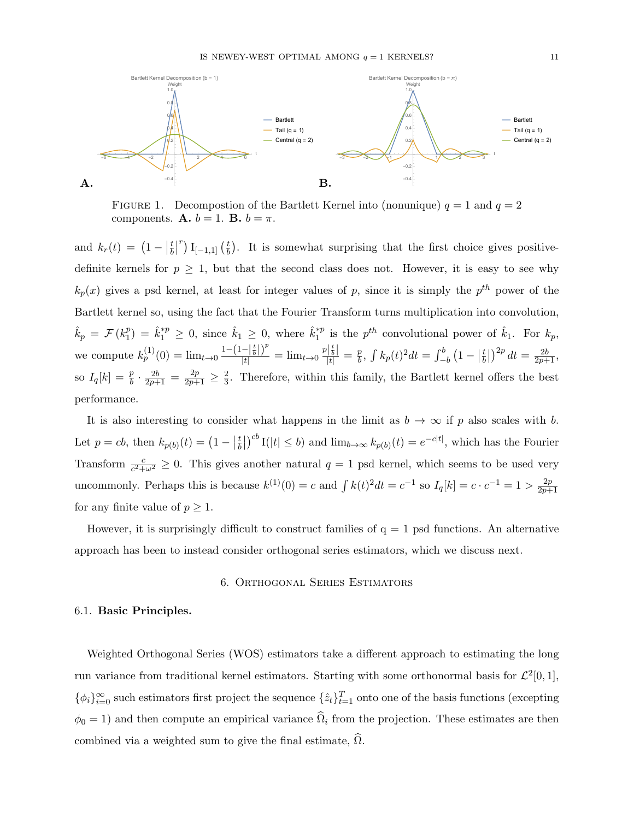

FIGURE 1. Decompostion of the Bartlett Kernel into (nonunique)  $q = 1$  and  $q = 2$ components. **A.**  $b = 1$ . **B.**  $b = \pi$ .

and  $k_r(t) = (1 - |\frac{t}{b}|)$  $\frac{t}{b}$ <sup>r</sup>) I<sub>[-1,1]</sub>  $\left(\frac{t}{b}\right)$  $\frac{t}{b}$ . It is somewhat surprising that the first choice gives positivedefinite kernels for  $p \geq 1$ , but that the second class does not. However, it is easy to see why  $k_p(x)$  gives a psd kernel, at least for integer values of p, since it is simply the  $p^{th}$  power of the Bartlett kernel so, using the fact that the Fourier Transform turns multiplication into convolution,  $\hat{k}_p \, = \, \mathcal{F} \, (k_1^p$  $\hat{k}_1^p$  =  $\hat{k}_1^{*p} \geq 0$ , since  $\hat{k}_1 \geq 0$ , where  $\hat{k}_1^{*p}$  $i_1^{\ast p}$  is the  $p^{th}$  convolutional power of  $\hat{k}_1$ . For  $k_p$ , we compute  $k_p^{(1)}(0) = \lim_{t \to 0} \frac{1 - (1 - \left|\frac{t}{b}\right|)^p}{|t|} = \lim_{t \to 0} \frac{p\left|\frac{t}{b}\right|}{|t|} = \frac{p}{b}$  $\frac{p}{b}$ ,  $\int k_p(t)^2 dt = \int_{-b}^{b} (1 - \left| \frac{t}{b} \right|)$  $\left(\frac{t}{b}\right)^{2p} dt = \frac{2b}{2p+1},$ so  $I_q[k] = \frac{p}{b} \cdot \frac{2b}{2p+1} = \frac{2p}{2p+1} \geq \frac{2}{3}$  $\frac{2}{3}$ . Therefore, within this family, the Bartlett kernel offers the best performance.

It is also interesting to consider what happens in the limit as  $b \to \infty$  if p also scales with b. Let  $p = cb$ , then  $k_{p(b)}(t) = (1 - \frac{t}{b})$  $\frac{t}{b}$ | $\int_0^{cb} I(|t| \le b)$  and  $\lim_{b \to \infty} k_{p(b)}(t) = e^{-c|t|}$ , which has the Fourier Transform  $\frac{c}{c^2+\omega^2} \geq 0$ . This gives another natural  $q=1$  psd kernel, which seems to be used very uncommonly. Perhaps this is because  $k^{(1)}(0) = c$  and  $\int k(t)^2 dt = c^{-1}$  so  $I_q[k] = c \cdot c^{-1} = 1 > \frac{2p}{2p+1}$  $\frac{2p+1}{2p+1}$ for any finite value of  $p \geq 1$ .

However, it is surprisingly difficult to construct families of  $q = 1$  psd functions. An alternative approach has been to instead consider orthogonal series estimators, which we discuss next.

### 6. Orthogonal Series Estimators

### 6.1. Basic Principles.

Weighted Orthogonal Series (WOS) estimators take a different approach to estimating the long run variance from traditional kernel estimators. Starting with some orthonormal basis for  $\mathcal{L}^2[0,1],$  $\{\phi_i\}_{i=0}^{\infty}$  such estimators first project the sequence  $\{\hat{z}_t\}_{t=1}^T$  onto one of the basis functions (excepting  $\phi_0 = 1$ ) and then compute an empirical variance  $\hat{\Omega}_i$  from the projection. These estimates are then combined via a weighted sum to give the final estimate,  $\Omega$ .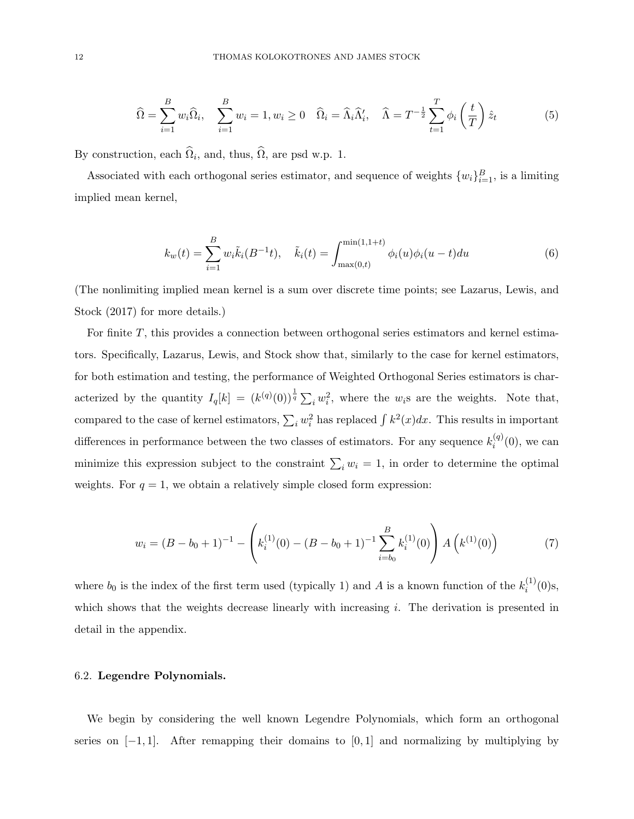$$
\widehat{\Omega} = \sum_{i=1}^{B} w_i \widehat{\Omega}_i, \quad \sum_{i=1}^{B} w_i = 1, w_i \ge 0 \quad \widehat{\Omega}_i = \widehat{\Lambda}_i \widehat{\Lambda}'_i, \quad \widehat{\Lambda} = T^{-\frac{1}{2}} \sum_{t=1}^{T} \phi_i \left(\frac{t}{T}\right) \widehat{z}_t \tag{5}
$$

By construction, each  $\Omega_i$ , and, thus,  $\Omega$ , are psd w.p. 1.

Associated with each orthogonal series estimator, and sequence of weights  $\{w_i\}_{i=1}^B$ , is a limiting implied mean kernel,

$$
k_w(t) = \sum_{i=1}^{B} w_i \tilde{k}_i (B^{-1}t), \quad \tilde{k}_i(t) = \int_{\max(0,t)}^{\min(1,1+t)} \phi_i(u) \phi_i(u-t) du \tag{6}
$$

(The nonlimiting implied mean kernel is a sum over discrete time points; see Lazarus, Lewis, and Stock (2017) for more details.)

For finite T, this provides a connection between orthogonal series estimators and kernel estimators. Specifically, Lazarus, Lewis, and Stock show that, similarly to the case for kernel estimators, for both estimation and testing, the performance of Weighted Orthogonal Series estimators is characterized by the quantity  $I_q[k] = (k^{(q)}(0))^{\frac{1}{q}} \sum_i w_i^2$ , where the w<sub>i</sub>s are the weights. Note that, compared to the case of kernel estimators,  $\sum_i w_i^2$  has replaced  $\int k^2(x)dx$ . This results in important differences in performance between the two classes of estimators. For any sequence  $k_i^{(q)}$  $i^{(q)}(0)$ , we can minimize this expression subject to the constraint  $\sum_i w_i = 1$ , in order to determine the optimal weights. For  $q = 1$ , we obtain a relatively simple closed form expression:

$$
w_i = (B - b_0 + 1)^{-1} - \left( k_i^{(1)}(0) - (B - b_0 + 1)^{-1} \sum_{i=b_0}^{B} k_i^{(1)}(0) \right) A\left( k^{(1)}(0) \right) \tag{7}
$$

where  $b_0$  is the index of the first term used (typically 1) and A is a known function of the  $k_i^{(1)}$  $i^{(1)}(0)$ s, which shows that the weights decrease linearly with increasing i. The derivation is presented in detail in the appendix.

## 6.2. Legendre Polynomials.

We begin by considering the well known Legendre Polynomials, which form an orthogonal series on  $[-1, 1]$ . After remapping their domains to  $[0, 1]$  and normalizing by multiplying by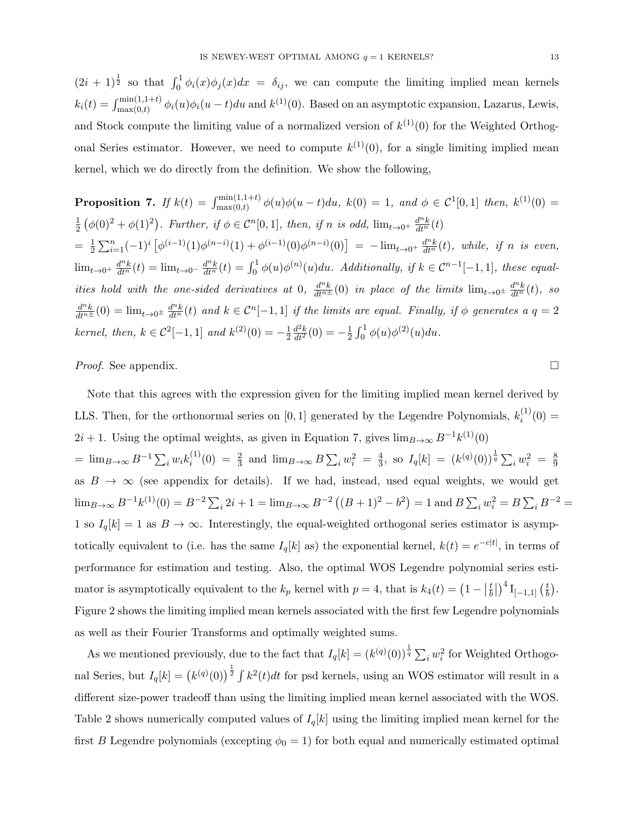$(2i+1)^{\frac{1}{2}}$  so that  $\int_0^1 \phi_i(x)\phi_j(x)dx = \delta_{ij}$ , we can compute the limiting implied mean kernels  $k_i(t) = \int_{\max(0,t)}^{\min(1,1+t)} \phi_i(u)\phi_i(u-t)du$  and  $k^{(1)}(0)$ . Based on an asymptotic expansion, Lazarus, Lewis, and Stock compute the limiting value of a normalized version of  $k^{(1)}(0)$  for the Weighted Orthogonal Series estimator. However, we need to compute  $k^{(1)}(0)$ , for a single limiting implied mean kernel, which we do directly from the definition. We show the following,

**Proposition 7.** If 
$$
k(t) = \int_{\max(0,t)}^{\min(1,1+t)} \phi(u)\phi(u-t)du
$$
,  $k(0) = 1$ , and  $\phi \in C^1[0,1]$  then,  $k^{(1)}(0) = \frac{1}{2} \left( \phi(0)^2 + \phi(1)^2 \right)$ . Further, if  $\phi \in C^n[0,1]$ , then, if n is odd,  $\lim_{t \to 0^+} \frac{d^n k}{dt^n}(t)$   $= \frac{1}{2} \sum_{i=1}^n (-1)^i \left[ \phi^{(i-1)}(1) \phi^{(n-i)}(1) + \phi^{(i-1)}(0) \phi^{(n-i)}(0) \right] = -\lim_{t \to 0^+} \frac{d^n k}{dt^n}(t)$ , while, if n is even,  $\lim_{t \to 0^+} \frac{d^n k}{dt^n}(t) = \lim_{t \to 0^-} \frac{d^n k}{dt^n}(t) = \int_0^1 \phi(u) \phi^{(n)}(u) du$ . Additionally, if  $k \in C^{n-1}[-1,1]$ , these equalities hold with the one-sided derivatives at 0,  $\frac{d^n k}{dt^n}(0)$  in place of the limits  $\lim_{t \to 0^+} \frac{d^n k}{dt^n}(t)$ , so  $\frac{d^n k}{dt^n}(0) = \lim_{t \to 0^+} \frac{d^n k}{dt^n}(t)$  and  $k \in C^n[-1,1]$  if the limits are equal. Finally, if  $\phi$  generates a  $q = 2$  *kernel, then,*  $k \in C^2[-1,1]$  and  $k^{(2)}(0) = -\frac{1}{2} \frac{d^2 k}{dt^2}(0) = -\frac{1}{2} \int_0^1 \phi(u) \phi^{(2)}(u) du$ .

*Proof.* See appendix.  $\Box$ 

Note that this agrees with the expression given for the limiting implied mean kernel derived by LLS. Then, for the orthonormal series on [0, 1] generated by the Legendre Polynomials,  $k_i^{(1)}$  $i^{(1)}(0) =$  $2i + 1$ . Using the optimal weights, as given in Equation 7, gives  $\lim_{B\to\infty} B^{-1}k^{(1)}(0)$  $= \lim_{B \to \infty} B^{-1} \sum_i w_i k_i^{(1)}$  $i^{(1)}(0) = \frac{2}{3}$  and  $\lim_{B \to \infty} B \sum_i w_i^2 = \frac{4}{3}$  $\frac{4}{3}$ , so  $I_q[k] = (k^{(q)}(0))^{\frac{1}{q}} \sum_i w_i^2 = \frac{8}{9}$  $\overline{9}$ as  $B \to \infty$  (see appendix for details). If we had, instead, used equal weights, we would get  $\lim_{B\to\infty} B^{-1}k^{(1)}(0) = B^{-2}\sum_i 2i + 1 = \lim_{B\to\infty} B^{-2}((B+1)^2 - b^2) = 1$  and  $B\sum_i w_i^2 = B\sum_i B^{-2} = 1$ 1 so  $I_q[k] = 1$  as  $B \to \infty$ . Interestingly, the equal-weighted orthogonal series estimator is asymptotically equivalent to (i.e. has the same  $I_q[k]$  as) the exponential kernel,  $k(t) = e^{-c|t|}$ , in terms of performance for estimation and testing. Also, the optimal WOS Legendre polynomial series estimator is asymptotically equivalent to the  $k_p$  kernel with  $p=4$ , that is  $k_4(t) = \left(1 - \left|\frac{t}{b}\right|\right)$  $\left(\frac{t}{b}\right)^4 \mathrm{I}_{[-1,1]} \left(\frac{t}{b}\right)$  $\frac{t}{b}$ . Figure 2 shows the limiting implied mean kernels associated with the first few Legendre polynomials as well as their Fourier Transforms and optimally weighted sums.

As we mentioned previously, due to the fact that  $I_q[k] = (k^{(q)}(0))^{\frac{1}{q}} \sum_i w_i^2$  for Weighted Orthogonal Series, but  $I_q[k] = (k^{(q)}(0))^{\frac{1}{2}} \int k^2(t)dt$  for psd kernels, using an WOS estimator will result in a different size-power tradeoff than using the limiting implied mean kernel associated with the WOS. Table 2 shows numerically computed values of  $I_q[k]$  using the limiting implied mean kernel for the first B Legendre polynomials (excepting  $\phi_0 = 1$ ) for both equal and numerically estimated optimal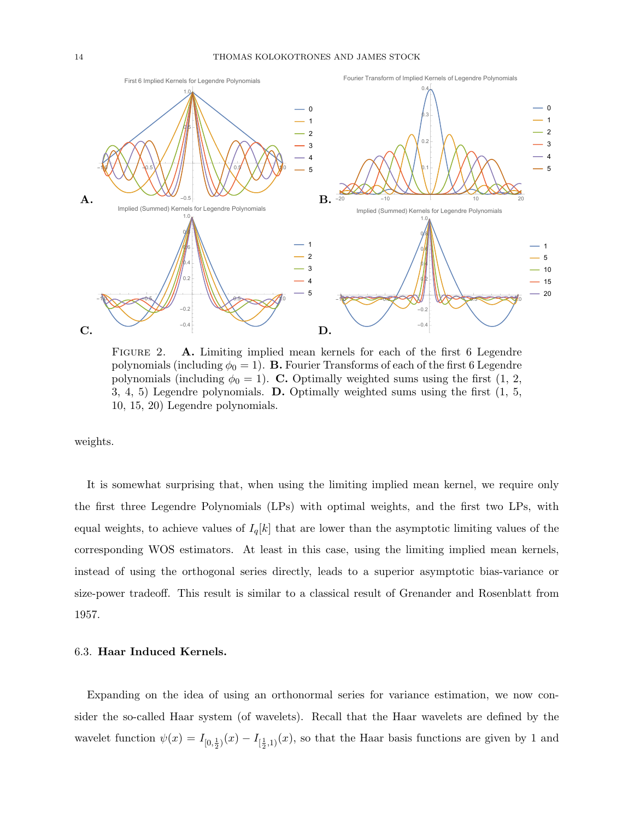

FIGURE 2. A. Limiting implied mean kernels for each of the first 6 Legendre polynomials (including  $\phi_0 = 1$ ). **B.** Fourier Transforms of each of the first 6 Legendre polynomials (including  $\phi_0 = 1$ ). C. Optimally weighted sums using the first (1, 2, 3, 4, 5) Legendre polynomials. D. Optimally weighted sums using the first (1, 5, 10, 15, 20) Legendre polynomials.

weights.

It is somewhat surprising that, when using the limiting implied mean kernel, we require only the first three Legendre Polynomials (LPs) with optimal weights, and the first two LPs, with equal weights, to achieve values of  $I_q[k]$  that are lower than the asymptotic limiting values of the corresponding WOS estimators. At least in this case, using the limiting implied mean kernels, instead of using the orthogonal series directly, leads to a superior asymptotic bias-variance or size-power tradeoff. This result is similar to a classical result of Grenander and Rosenblatt from 1957.

#### 6.3. Haar Induced Kernels.

Expanding on the idea of using an orthonormal series for variance estimation, we now consider the so-called Haar system (of wavelets). Recall that the Haar wavelets are defined by the wavelet function  $\psi(x) = I_{[0, \frac{1}{2})}(x) - I_{[\frac{1}{2}, 1)}(x)$ , so that the Haar basis functions are given by 1 and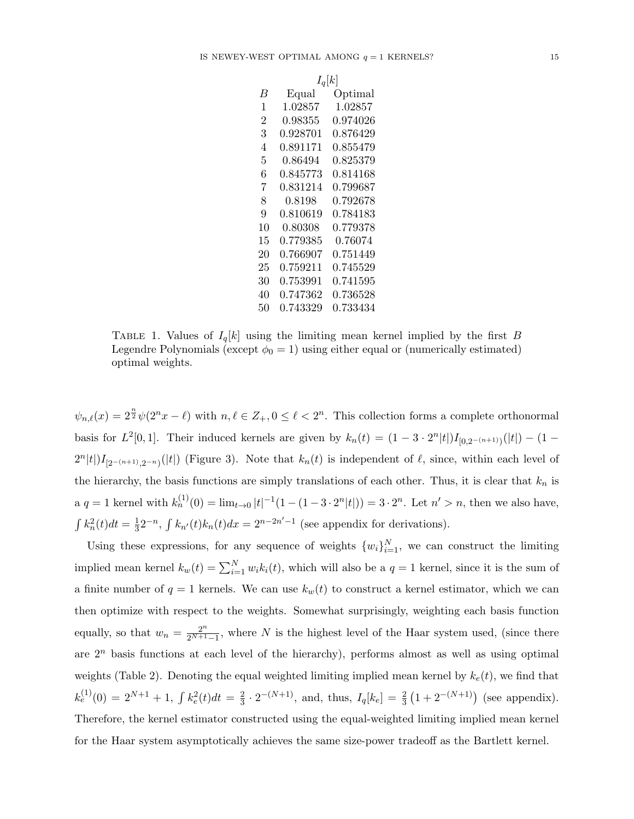|    | $I_q[k]$ |          |  |
|----|----------|----------|--|
| B  | Equal    | Optimal  |  |
| 1  | 1.02857  | 1.02857  |  |
| 2  | 0.98355  | 0.974026 |  |
| 3  | 0.928701 | 0.876429 |  |
| 4  | 0.891171 | 0.855479 |  |
| 5  | 0.86494  | 0.825379 |  |
| 6  | 0.845773 | 0.814168 |  |
| 7  | 0.831214 | 0.799687 |  |
| 8  | 0.8198   | 0.792678 |  |
| 9  | 0.810619 | 0.784183 |  |
| 10 | 0.80308  | 0.779378 |  |
| 15 | 0.779385 | 0.76074  |  |
| 20 | 0.766907 | 0.751449 |  |
| 25 | 0.759211 | 0.745529 |  |
| 30 | 0.753991 | 0.741595 |  |
| 40 | 0.747362 | 0.736528 |  |
| 50 | 0.743329 | 0.733434 |  |

TABLE 1. Values of  $I_q[k]$  using the limiting mean kernel implied by the first B Legendre Polynomials (except  $\phi_0 = 1$ ) using either equal or (numerically estimated) optimal weights.

 $\psi_{n,\ell}(x) = 2^{\frac{n}{2}} \psi(2^n x - \ell)$  with  $n, \ell \in \mathbb{Z}_+, 0 \leq \ell < 2^n$ . This collection forms a complete orthonormal basis for  $L^2[0,1]$ . Their induced kernels are given by  $k_n(t) = (1 - 3 \cdot 2^n|t|)I_{[0,2^{-(n+1)})}(|t|) - (1 2^{n}|t|)I_{[2^{-(n+1)},2^{-n})}(|t|)$  (Figure 3). Note that  $k_n(t)$  is independent of  $\ell$ , since, within each level of the hierarchy, the basis functions are simply translations of each other. Thus, it is clear that  $k_n$  is  $a \ q = 1$  kernel with  $k_n^{(1)}(0) = \lim_{t \to 0} |t|^{-1}(1 - (1 - 3 \cdot 2^n |t|)) = 3 \cdot 2^n$ . Let  $n' > n$ , then we also have,  $\int k_n^2(t)dt = \frac{1}{3}$  $\frac{1}{3}2^{-n}$ ,  $\int k_{n'}(t)k_n(t)dx = 2^{n-2n'-1}$  (see appendix for derivations).

Using these expressions, for any sequence of weights  $\{w_i\}_{i=1}^N$ , we can construct the limiting implied mean kernel  $k_w(t) = \sum_{i=1}^{N} w_i k_i(t)$ , which will also be a  $q = 1$  kernel, since it is the sum of a finite number of  $q = 1$  kernels. We can use  $k_w(t)$  to construct a kernel estimator, which we can then optimize with respect to the weights. Somewhat surprisingly, weighting each basis function equally, so that  $w_n = \frac{2^n}{2^{N+1}}$  $\frac{2^n}{2^{N+1}-1}$ , where N is the highest level of the Haar system used, (since there are  $2<sup>n</sup>$  basis functions at each level of the hierarchy), performs almost as well as using optimal weights (Table 2). Denoting the equal weighted limiting implied mean kernel by  $k_e(t)$ , we find that  $k_e^{(1)}(0) = 2^{N+1} + 1, \int k_e^{2}(t)dt = \frac{2}{3}$  $\frac{2}{3} \cdot 2^{-(N+1)}$ , and, thus,  $I_q[k_e] = \frac{2}{3} (1 + 2^{-(N+1)})$  (see appendix). Therefore, the kernel estimator constructed using the equal-weighted limiting implied mean kernel for the Haar system asymptotically achieves the same size-power tradeoff as the Bartlett kernel.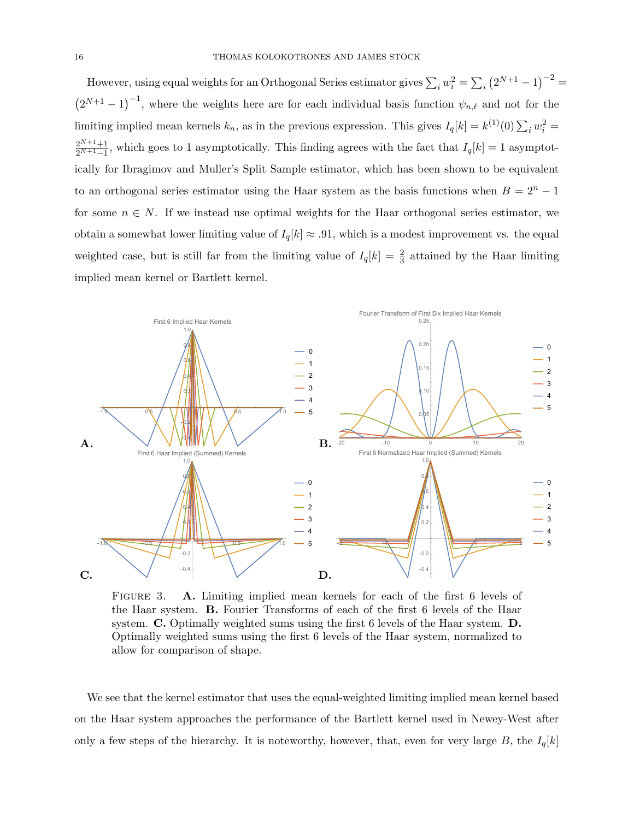However, using equal weights for an Orthogonal Series estimator gives  $\sum_i w_i^2 = \sum_i (2^{N+1} - 1)^{-2}$  $(2^{N+1}-1)^{-1}$ , where the weights here are for each individual basis function  $\psi_{n,\ell}$  and not for the limiting implied mean kernels  $k_n$ , as in the previous expression. This gives  $I_q[k] = k^{(1)}(0) \sum_i w_i^2 =$  $2^{N+1}+1$  $\frac{2^{N+1}+1}{2^{N+1}-1}$ , which goes to 1 asymptotically. This finding agrees with the fact that  $I_q[k] = 1$  asymptotically for Ibragimov and Muller's Split Sample estimator, which has been shown to be equivalent to an orthogonal series estimator using the Haar system as the basis functions when  $B = 2<sup>n</sup> - 1$ for some  $n \in N$ . If we instead use optimal weights for the Haar orthogonal series estimator, we obtain a somewhat lower limiting value of  $I_q[k] \approx .91$ , which is a modest improvement vs. the equal weighted case, but is still far from the limiting value of  $I_q[k] = \frac{2}{3}$  attained by the Haar limiting implied mean kernel or Bartlett kernel.



FIGURE 3. A. Limiting implied mean kernels for each of the first 6 levels of the Haar system. B. Fourier Transforms of each of the first 6 levels of the Haar system. C. Optimally weighted sums using the first 6 levels of the Haar system. D. Optimally weighted sums using the first 6 levels of the Haar system, normalized to allow for comparison of shape.

We see that the kernel estimator that uses the equal-weighted limiting implied mean kernel based on the Haar system approaches the performance of the Bartlett kernel used in Newey-West after only a few steps of the hierarchy. It is noteworthy, however, that, even for very large B, the  $I_q[k]$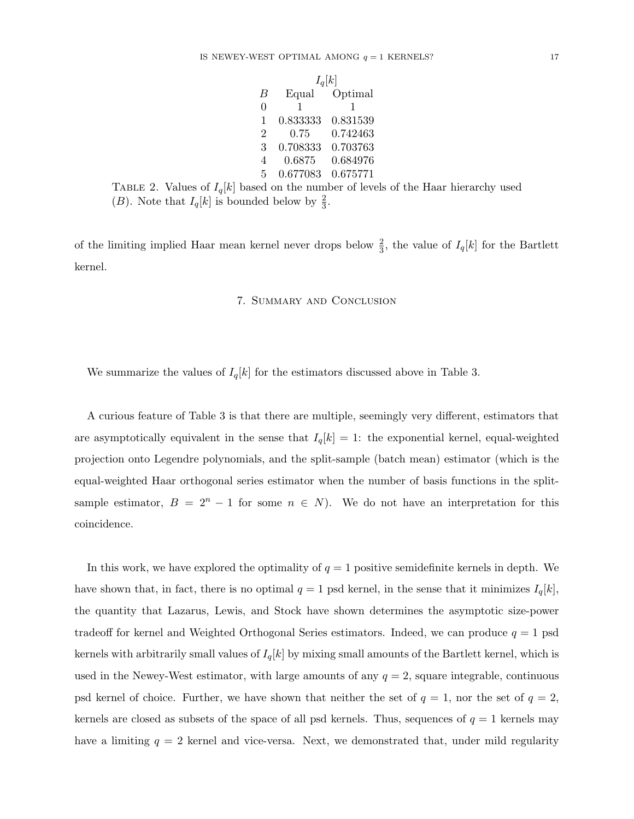|                | $I_q[k]$ |          |  |
|----------------|----------|----------|--|
| B              | Equal    | Optimal  |  |
| 0              | 1        | 1        |  |
| 1              | 0.833333 | 0.831539 |  |
| $\overline{2}$ | 0.75     | 0.742463 |  |
| 3              | 0.708333 | 0.703763 |  |
| 4              | 0.6875   | 0.684976 |  |
| 5              | 0.677083 | 0.675771 |  |
|                |          |          |  |

TABLE 2. Values of  $I_q[k]$  based on the number of levels of the Haar hierarchy used (B). Note that  $I_q[k]$  is bounded below by  $\frac{2}{3}$ .

of the limiting implied Haar mean kernel never drops below  $\frac{2}{3}$ , the value of  $I_q[k]$  for the Bartlett kernel.

# 7. Summary and Conclusion

We summarize the values of  $I_q[k]$  for the estimators discussed above in Table 3.

A curious feature of Table 3 is that there are multiple, seemingly very different, estimators that are asymptotically equivalent in the sense that  $I_q[k] = 1$ : the exponential kernel, equal-weighted projection onto Legendre polynomials, and the split-sample (batch mean) estimator (which is the equal-weighted Haar orthogonal series estimator when the number of basis functions in the splitsample estimator,  $B = 2<sup>n</sup> - 1$  for some  $n \in N$ ). We do not have an interpretation for this coincidence.

In this work, we have explored the optimality of  $q = 1$  positive semidefinite kernels in depth. We have shown that, in fact, there is no optimal  $q = 1$  psd kernel, in the sense that it minimizes  $I_q[k]$ , the quantity that Lazarus, Lewis, and Stock have shown determines the asymptotic size-power tradeoff for kernel and Weighted Orthogonal Series estimators. Indeed, we can produce  $q = 1$  psd kernels with arbitrarily small values of  $I_q[k]$  by mixing small amounts of the Bartlett kernel, which is used in the Newey-West estimator, with large amounts of any  $q = 2$ , square integrable, continuous psd kernel of choice. Further, we have shown that neither the set of  $q = 1$ , nor the set of  $q = 2$ , kernels are closed as subsets of the space of all psd kernels. Thus, sequences of  $q = 1$  kernels may have a limiting  $q = 2$  kernel and vice-versa. Next, we demonstrated that, under mild regularity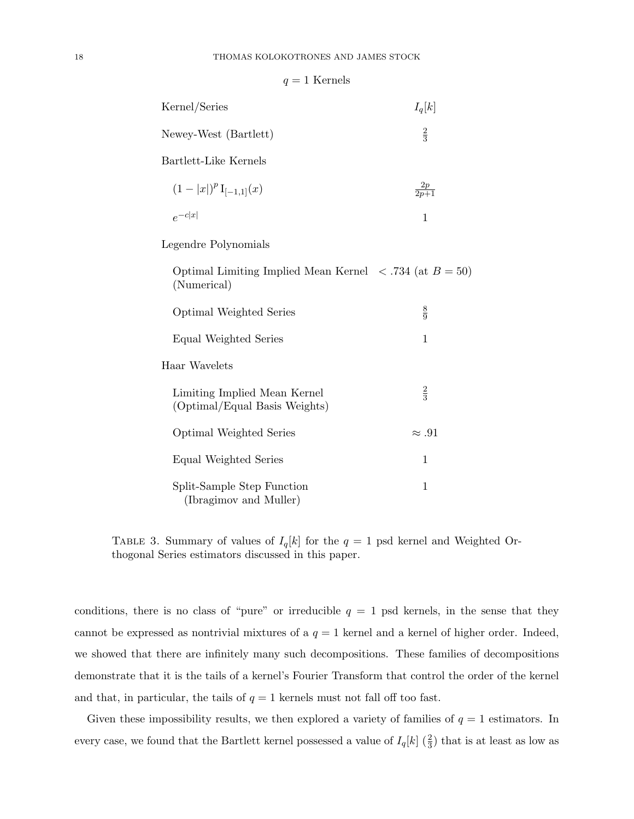|  |  | ∖ernels |
|--|--|---------|
|--|--|---------|

| Kernel/Series                                                                             | $I_q[k]$          |
|-------------------------------------------------------------------------------------------|-------------------|
| Newey-West (Bartlett)                                                                     | $\frac{2}{3}$     |
| Bartlett-Like Kernels                                                                     |                   |
| $(1- x )^p I_{[-1,1]}(x)$                                                                 | $\frac{2p}{2p+1}$ |
| $e^{-c x }$                                                                               | $\mathbf{1}$      |
| Legendre Polynomials                                                                      |                   |
| Optimal Limiting Implied Mean Kernel $\langle .734 \rangle$ (at $B = 50$ )<br>(Numerical) |                   |
| Optimal Weighted Series                                                                   | $\frac{8}{9}$     |
| Equal Weighted Series                                                                     | $\mathbf{1}$      |
| Haar Wavelets                                                                             |                   |
| Limiting Implied Mean Kernel<br>(Optimal/Equal Basis Weights)                             | $\frac{2}{3}$     |
| Optimal Weighted Series                                                                   | $\approx .91$     |
| Equal Weighted Series                                                                     | $\mathbf{1}$      |
| Split-Sample Step Function<br>(Ibragimov and Muller)                                      | $\mathbf{1}$      |

TABLE 3. Summary of values of  $I_q[k]$  for the  $q = 1$  psd kernel and Weighted Orthogonal Series estimators discussed in this paper.

conditions, there is no class of "pure" or irreducible  $q = 1$  psd kernels, in the sense that they cannot be expressed as nontrivial mixtures of a  $q = 1$  kernel and a kernel of higher order. Indeed, we showed that there are infinitely many such decompositions. These families of decompositions demonstrate that it is the tails of a kernel's Fourier Transform that control the order of the kernel and that, in particular, the tails of  $q = 1$  kernels must not fall off too fast.

Given these impossibility results, we then explored a variety of families of  $q = 1$  estimators. In every case, we found that the Bartlett kernel possessed a value of  $I_q[k]$  ( $\frac{2}{3}$ ) that is at least as low as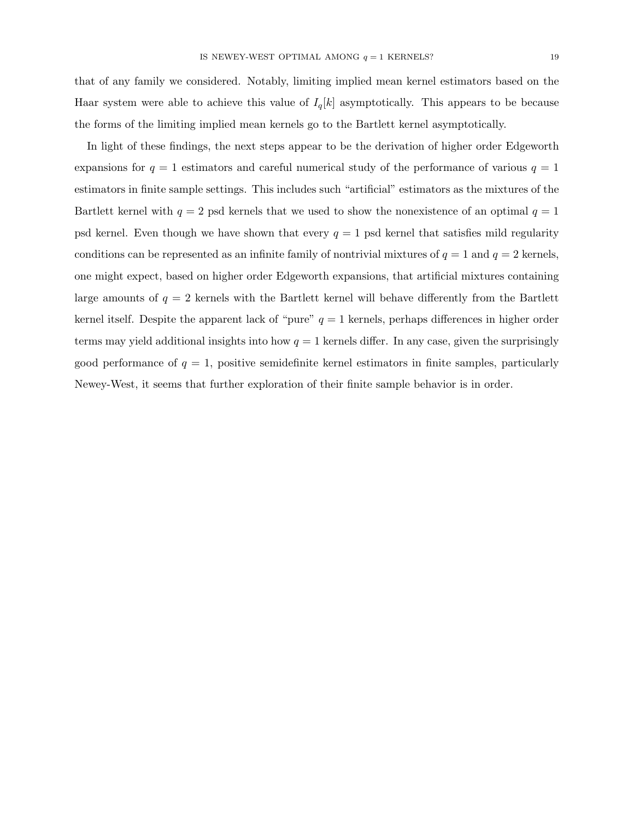that of any family we considered. Notably, limiting implied mean kernel estimators based on the Haar system were able to achieve this value of  $I_q[k]$  asymptotically. This appears to be because the forms of the limiting implied mean kernels go to the Bartlett kernel asymptotically.

In light of these findings, the next steps appear to be the derivation of higher order Edgeworth expansions for  $q = 1$  estimators and careful numerical study of the performance of various  $q = 1$ estimators in finite sample settings. This includes such "artificial" estimators as the mixtures of the Bartlett kernel with  $q = 2$  psd kernels that we used to show the nonexistence of an optimal  $q = 1$ psd kernel. Even though we have shown that every  $q = 1$  psd kernel that satisfies mild regularity conditions can be represented as an infinite family of nontrivial mixtures of  $q = 1$  and  $q = 2$  kernels, one might expect, based on higher order Edgeworth expansions, that artificial mixtures containing large amounts of  $q = 2$  kernels with the Bartlett kernel will behave differently from the Bartlett kernel itself. Despite the apparent lack of "pure"  $q = 1$  kernels, perhaps differences in higher order terms may yield additional insights into how  $q = 1$  kernels differ. In any case, given the surprisingly good performance of  $q = 1$ , positive semidefinite kernel estimators in finite samples, particularly Newey-West, it seems that further exploration of their finite sample behavior is in order.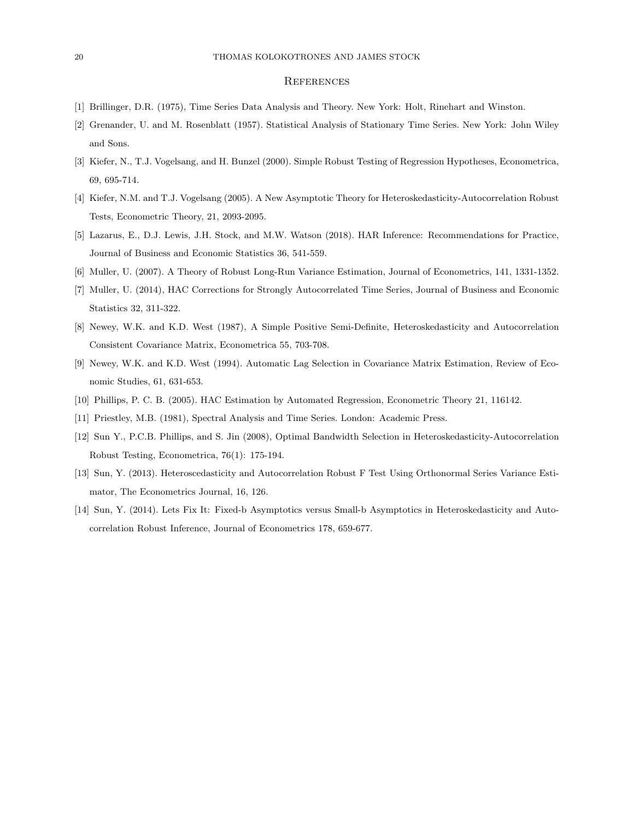#### **REFERENCES**

- [1] Brillinger, D.R. (1975), Time Series Data Analysis and Theory. New York: Holt, Rinehart and Winston.
- [2] Grenander, U. and M. Rosenblatt (1957). Statistical Analysis of Stationary Time Series. New York: John Wiley and Sons.
- [3] Kiefer, N., T.J. Vogelsang, and H. Bunzel (2000). Simple Robust Testing of Regression Hypotheses, Econometrica, 69, 695-714.
- [4] Kiefer, N.M. and T.J. Vogelsang (2005). A New Asymptotic Theory for Heteroskedasticity-Autocorrelation Robust Tests, Econometric Theory, 21, 2093-2095.
- [5] Lazarus, E., D.J. Lewis, J.H. Stock, and M.W. Watson (2018). HAR Inference: Recommendations for Practice, Journal of Business and Economic Statistics 36, 541-559.
- [6] Muller, U. (2007). A Theory of Robust Long-Run Variance Estimation, Journal of Econometrics, 141, 1331-1352.
- [7] Muller, U. (2014), HAC Corrections for Strongly Autocorrelated Time Series, Journal of Business and Economic Statistics 32, 311-322.
- [8] Newey, W.K. and K.D. West (1987), A Simple Positive Semi-Definite, Heteroskedasticity and Autocorrelation Consistent Covariance Matrix, Econometrica 55, 703-708.
- [9] Newey, W.K. and K.D. West (1994). Automatic Lag Selection in Covariance Matrix Estimation, Review of Economic Studies, 61, 631-653.
- [10] Phillips, P. C. B. (2005). HAC Estimation by Automated Regression, Econometric Theory 21, 116142.
- [11] Priestley, M.B. (1981), Spectral Analysis and Time Series. London: Academic Press.
- [12] Sun Y., P.C.B. Phillips, and S. Jin (2008), Optimal Bandwidth Selection in Heteroskedasticity-Autocorrelation Robust Testing, Econometrica, 76(1): 175-194.
- [13] Sun, Y. (2013). Heteroscedasticity and Autocorrelation Robust F Test Using Orthonormal Series Variance Estimator, The Econometrics Journal, 16, 126.
- [14] Sun, Y. (2014). Lets Fix It: Fixed-b Asymptotics versus Small-b Asymptotics in Heteroskedasticity and Autocorrelation Robust Inference, Journal of Econometrics 178, 659-677.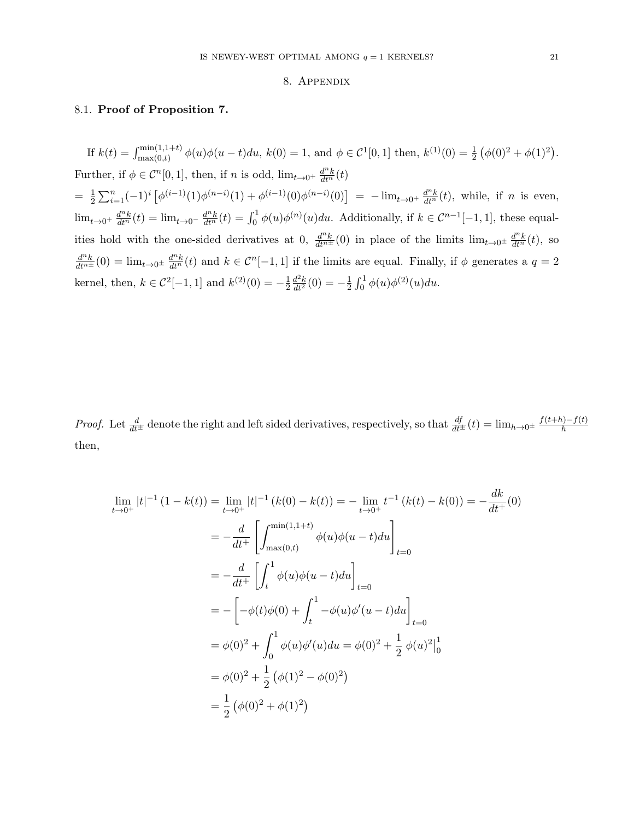#### 8. Appendix

### 8.1. Proof of Proposition 7.

If  $k(t) = \int_{\max(0,t)}^{\min(1,1+t)} \phi(u)\phi(u-t)du$ ,  $k(0) = 1$ , and  $\phi \in C^1[0,1]$  then,  $k^{(1)}(0) = \frac{1}{2} (\phi(0)^2 + \phi(1)^2)$ . Further, if  $\phi \in C^n[0,1]$ , then, if n is odd,  $\lim_{t \to 0^+} \frac{d^n k}{dt^n}(t)$  $=$   $\frac{1}{2}$  $\frac{1}{2}\sum_{i=1}^n(-1)^i\left[\phi^{(i-1)}(1)\phi^{(n-i)}(1)+\phi^{(i-1)}(0)\phi^{(n-i)}(0)\right] = -\lim_{t\to 0^+}\frac{d^nk}{dt^n}(t)$ , while, if n is even,  $\lim_{t\to 0^+} \frac{d^n k}{dt^n}(t) = \lim_{t\to 0^-} \frac{d^n k}{dt^n}(t) = \int_0^1 \phi(u)\phi^{(n)}(u)du$ . Additionally, if  $k \in C^{n-1}[-1,1]$ , these equalities hold with the one-sided derivatives at 0,  $\frac{d^n k}{dt^{n+1}}(0)$  in place of the limits  $\lim_{t\to 0^{\pm}} \frac{d^n k}{dt^n}(t)$ , so  $\frac{d^{n}k}{dt^{n}}(0) = \lim_{t\to 0^{\pm}} \frac{d^{n}k}{dt^{n}}(t)$  and  $k \in \mathcal{C}^{n}[-1,1]$  if the limits are equal. Finally, if  $\phi$  generates a  $q=2$ kernel, then,  $k \in C^2[-1, 1]$  and  $k^{(2)}(0) = -\frac{1}{2}$ 2  $\frac{d^2k}{dt^2}(0) = -\frac{1}{2}$  $\frac{1}{2} \int_0^1 \phi(u) \phi^{(2)}(u) du.$ 

*Proof.* Let  $\frac{d}{dt}$  denote the right and left sided derivatives, respectively, so that  $\frac{df}{dt}$   $(t) = \lim_{h\to 0^{\pm}} \frac{f(t+h)-f(t)}{h}$ h then,

$$
\lim_{t \to 0^{+}} |t|^{-1} (1 - k(t)) = \lim_{t \to 0^{+}} |t|^{-1} (k(0) - k(t)) = -\lim_{t \to 0^{+}} t^{-1} (k(t) - k(0)) = -\frac{dk}{dt^{+}} (0)
$$
\n
$$
= -\frac{d}{dt^{+}} \left[ \int_{\max(0,t)}^{\min(1,1+t)} \phi(u)\phi(u-t)du \right]_{t=0}
$$
\n
$$
= -\frac{d}{dt^{+}} \left[ \int_{t}^{1} \phi(u)\phi(u-t)du \right]_{t=0}
$$
\n
$$
= -\left[ -\phi(t)\phi(0) + \int_{t}^{1} -\phi(u)\phi'(u-t)du \right]_{t=0}
$$
\n
$$
= \phi(0)^{2} + \int_{0}^{1} \phi(u)\phi'(u)du = \phi(0)^{2} + \frac{1}{2} \phi(u)^{2} \Big|_{0}^{1}
$$
\n
$$
= \phi(0)^{2} + \frac{1}{2} (\phi(1)^{2} - \phi(0)^{2})
$$
\n
$$
= \frac{1}{2} (\phi(0)^{2} + \phi(1)^{2})
$$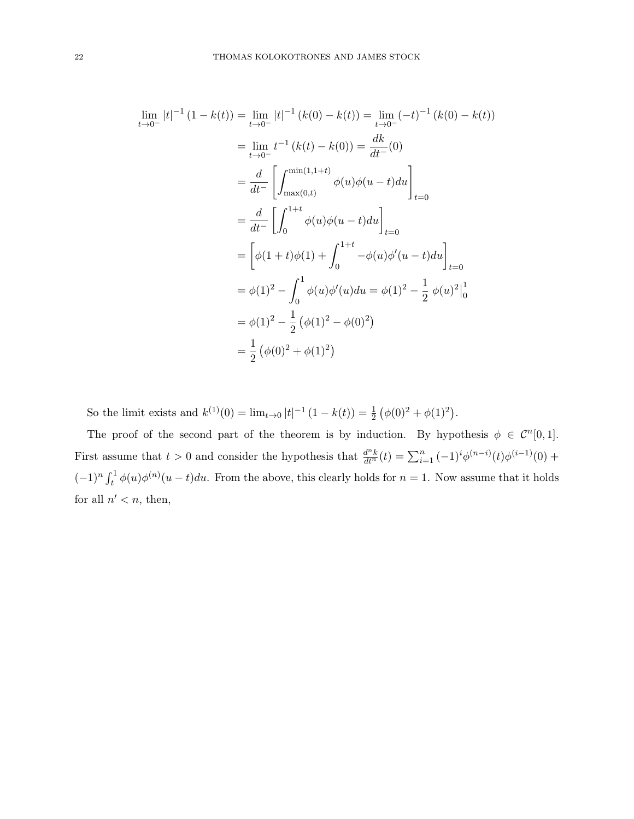$$
\lim_{t \to 0^{-}} |t|^{-1} (1 - k(t)) = \lim_{t \to 0^{-}} |t|^{-1} (k(0) - k(t)) = \lim_{t \to 0^{-}} (-t)^{-1} (k(0) - k(t))
$$
\n
$$
= \lim_{t \to 0^{-}} t^{-1} (k(t) - k(0)) = \frac{dk}{dt^{-}} (0)
$$
\n
$$
= \frac{d}{dt^{-}} \left[ \int_{\max(0,t)}^{\min(1,1+t)} \phi(u)\phi(u - t) du \right]_{t=0}
$$
\n
$$
= \frac{d}{dt^{-}} \left[ \int_{0}^{1+t} \phi(u)\phi(u - t) du \right]_{t=0}
$$
\n
$$
= \left[ \phi(1+t)\phi(1) + \int_{0}^{1+t} -\phi(u)\phi'(u - t) du \right]_{t=0}
$$
\n
$$
= \phi(1)^{2} - \int_{0}^{1} \phi(u)\phi'(u)du = \phi(1)^{2} - \frac{1}{2} \phi(u)^{2} \Big|_{0}^{1}
$$
\n
$$
= \phi(1)^{2} - \frac{1}{2} (\phi(1)^{2} - \phi(0)^{2})
$$
\n
$$
= \frac{1}{2} (\phi(0)^{2} + \phi(1)^{2})
$$

So the limit exists and  $k^{(1)}(0) = \lim_{t \to 0} |t|^{-1} (1 - k(t)) = \frac{1}{2} (\phi(0)^2 + \phi(1)^2)$ .

The proof of the second part of the theorem is by induction. By hypothesis  $\phi \in C^{n}[0,1]$ . First assume that  $t > 0$  and consider the hypothesis that  $\frac{d^n k}{dt^n}(t) = \sum_{i=1}^n (-1)^i \phi^{(n-i)}(t) \phi^{(i-1)}(0)$  +  $(-1)^n \int_t^1 \phi(u) \phi^{(n)}(u-t) du$ . From the above, this clearly holds for  $n=1$ . Now assume that it holds for all  $n' < n$ , then,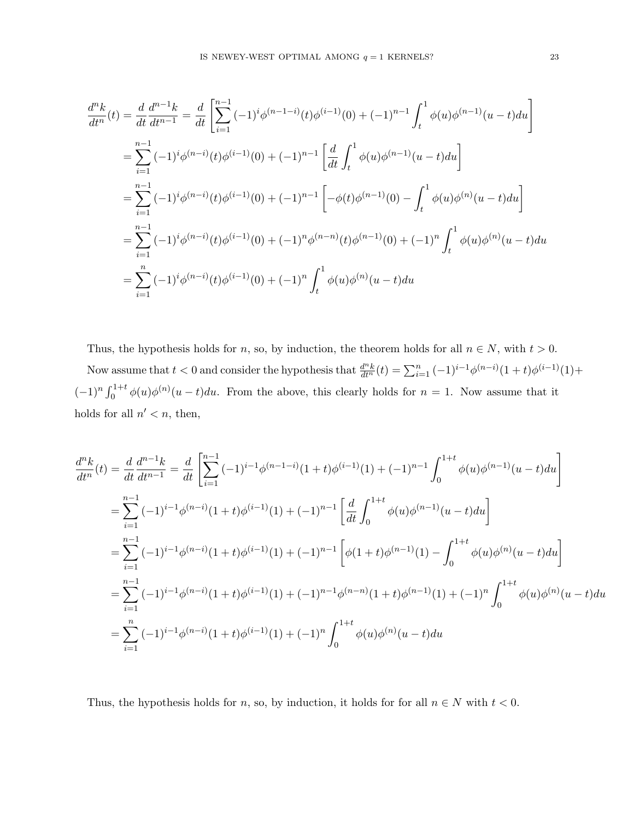$$
\frac{d^n k}{dt^n}(t) = \frac{d}{dt} \frac{d^{n-1} k}{dt^{n-1}} = \frac{d}{dt} \left[ \sum_{i=1}^{n-1} (-1)^i \phi^{(n-1-i)}(t) \phi^{(i-1)}(0) + (-1)^{n-1} \int_t^1 \phi(u) \phi^{(n-1)}(u-t) du \right]
$$
  
\n
$$
= \sum_{i=1}^{n-1} (-1)^i \phi^{(n-i)}(t) \phi^{(i-1)}(0) + (-1)^{n-1} \left[ \frac{d}{dt} \int_t^1 \phi(u) \phi^{(n-1)}(u-t) du \right]
$$
  
\n
$$
= \sum_{i=1}^{n-1} (-1)^i \phi^{(n-i)}(t) \phi^{(i-1)}(0) + (-1)^{n-1} \left[ -\phi(t) \phi^{(n-1)}(0) - \int_t^1 \phi(u) \phi^{(n)}(u-t) du \right]
$$
  
\n
$$
= \sum_{i=1}^{n-1} (-1)^i \phi^{(n-i)}(t) \phi^{(i-1)}(0) + (-1)^n \phi^{(n-n)}(t) \phi^{(n-1)}(0) + (-1)^n \int_t^1 \phi(u) \phi^{(n)}(u-t) du
$$
  
\n
$$
= \sum_{i=1}^n (-1)^i \phi^{(n-i)}(t) \phi^{(i-1)}(0) + (-1)^n \int_t^1 \phi(u) \phi^{(n)}(u-t) du
$$

Thus, the hypothesis holds for n, so, by induction, the theorem holds for all  $n \in N$ , with  $t > 0$ . Now assume that  $t < 0$  and consider the hypothesis that  $\frac{d^n k}{dt^n}(t) = \sum_{i=1}^n (-1)^{i-1} \phi^{(n-i)}(1+t) \phi^{(i-1)}(1) +$  $(-1)^n \int_0^{1+t} \phi(u) \phi^{(n)}(u-t) du$ . From the above, this clearly holds for  $n = 1$ . Now assume that it holds for all  $n' < n$ , then,

$$
\frac{d^n k}{dt^n}(t) = \frac{d}{dt} \frac{d^{n-1} k}{dt^{n-1}} = \frac{d}{dt} \left[ \sum_{i=1}^{n-1} (-1)^{i-1} \phi^{(n-1-i)}(1+t) \phi^{(i-1)}(1) + (-1)^{n-1} \int_0^{1+t} \phi(u) \phi^{(n-1)}(u-t) du \right]
$$
  
\n
$$
= \sum_{i=1}^{n-1} (-1)^{i-1} \phi^{(n-i)}(1+t) \phi^{(i-1)}(1) + (-1)^{n-1} \left[ \frac{d}{dt} \int_0^{1+t} \phi(u) \phi^{(n-1)}(u-t) du \right]
$$
  
\n
$$
= \sum_{i=1}^{n-1} (-1)^{i-1} \phi^{(n-i)}(1+t) \phi^{(i-1)}(1) + (-1)^{n-1} \left[ \phi(1+t) \phi^{(n-1)}(1) - \int_0^{1+t} \phi(u) \phi^{(n)}(u-t) du \right]
$$
  
\n
$$
= \sum_{i=1}^{n-1} (-1)^{i-1} \phi^{(n-i)}(1+t) \phi^{(i-1)}(1) + (-1)^{n-1} \phi^{(n-n)}(1+t) \phi^{(n-1)}(1) + (-1)^n \int_0^{1+t} \phi(u) \phi^{(n)}(u-t) du
$$
  
\n
$$
= \sum_{i=1}^{n} (-1)^{i-1} \phi^{(n-i)}(1+t) \phi^{(i-1)}(1) + (-1)^n \int_0^{1+t} \phi(u) \phi^{(n)}(u-t) du
$$

Thus, the hypothesis holds for n, so, by induction, it holds for for all  $n \in N$  with  $t < 0$ .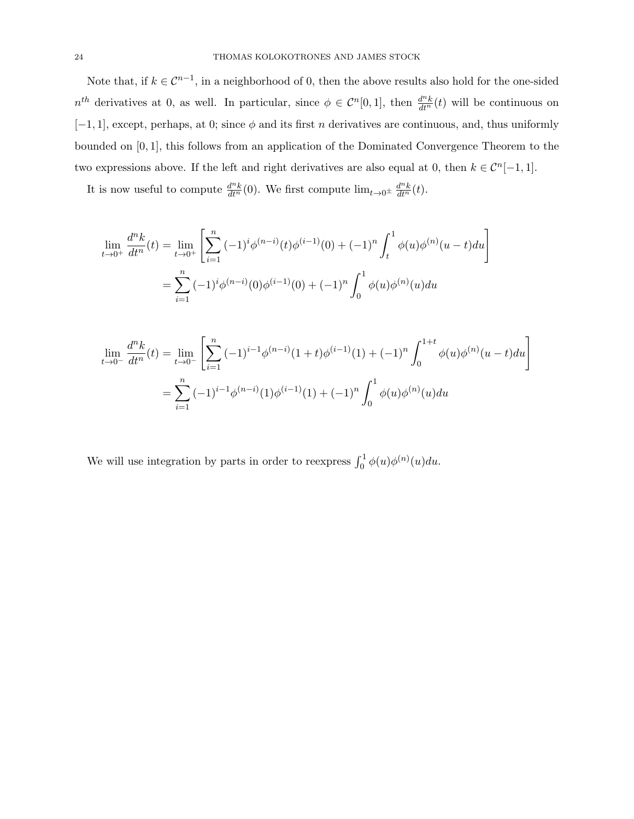Note that, if  $k \in \mathbb{C}^{n-1}$ , in a neighborhood of 0, then the above results also hold for the one-sided  $n^{th}$  derivatives at 0, as well. In particular, since  $\phi \in C^{n}[0,1]$ , then  $\frac{d^{n}k}{dt^{n}}(t)$  will be continuous on  $[-1, 1]$ , except, perhaps, at 0; since  $\phi$  and its first n derivatives are continuous, and, thus uniformly bounded on [0, 1], this follows from an application of the Dominated Convergence Theorem to the two expressions above. If the left and right derivatives are also equal at 0, then  $k \in C^{n}[-1,1]$ .

It is now useful to compute  $\frac{d^n k}{dt^n}(0)$ . We first compute  $\lim_{t\to 0^{\pm}} \frac{d^n k}{dt^n}(t)$ .

$$
\lim_{t \to 0^+} \frac{d^n k}{dt^n}(t) = \lim_{t \to 0^+} \left[ \sum_{i=1}^n (-1)^i \phi^{(n-i)}(t) \phi^{(i-1)}(0) + (-1)^n \int_t^1 \phi(u) \phi^{(n)}(u-t) du \right]
$$

$$
= \sum_{i=1}^n (-1)^i \phi^{(n-i)}(0) \phi^{(i-1)}(0) + (-1)^n \int_0^1 \phi(u) \phi^{(n)}(u) du
$$

$$
\lim_{t \to 0^{-}} \frac{d^n k}{dt^n}(t) = \lim_{t \to 0^{-}} \left[ \sum_{i=1}^n (-1)^{i-1} \phi^{(n-i)}(1+t) \phi^{(i-1)}(1) + (-1)^n \int_0^{1+t} \phi(u) \phi^{(n)}(u-t) du \right]
$$

$$
= \sum_{i=1}^n (-1)^{i-1} \phi^{(n-i)}(1) \phi^{(i-1)}(1) + (-1)^n \int_0^1 \phi(u) \phi^{(n)}(u) du
$$

We will use integration by parts in order to reexpress  $\int_0^1 \phi(u) \phi^{(n)}(u) du$ .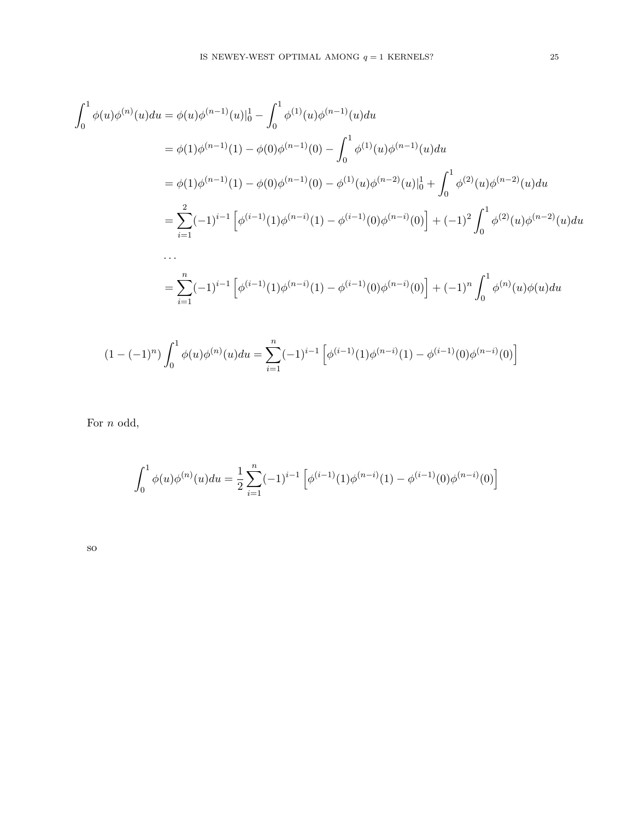$$
\int_{0}^{1} \phi(u)\phi^{(n)}(u)du = \phi(u)\phi^{(n-1)}(u)|_{0}^{1} - \int_{0}^{1} \phi^{(1)}(u)\phi^{(n-1)}(u)du
$$
  
\n
$$
= \phi(1)\phi^{(n-1)}(1) - \phi(0)\phi^{(n-1)}(0) - \int_{0}^{1} \phi^{(1)}(u)\phi^{(n-1)}(u)du
$$
  
\n
$$
= \phi(1)\phi^{(n-1)}(1) - \phi(0)\phi^{(n-1)}(0) - \phi^{(1)}(u)\phi^{(n-2)}(u)|_{0}^{1} + \int_{0}^{1} \phi^{(2)}(u)\phi^{(n-2)}(u)du
$$
  
\n
$$
= \sum_{i=1}^{2} (-1)^{i-1} \left[ \phi^{(i-1)}(1)\phi^{(n-i)}(1) - \phi^{(i-1)}(0)\phi^{(n-i)}(0) \right] + (-1)^{2} \int_{0}^{1} \phi^{(2)}(u)\phi^{(n-2)}(u)du
$$
  
\n...  
\n
$$
= \sum_{i=1}^{n} (-1)^{i-1} \left[ \phi^{(i-1)}(1)\phi^{(n-i)}(1) - \phi^{(i-1)}(0)\phi^{(n-i)}(0) \right] + (-1)^{n} \int_{0}^{1} \phi^{(n)}(u)\phi(u)du
$$

$$
(1 - (-1)^n) \int_0^1 \phi(u)\phi^{(n)}(u)du = \sum_{i=1}^n (-1)^{i-1} \left[ \phi^{(i-1)}(1)\phi^{(n-i)}(1) - \phi^{(i-1)}(0)\phi^{(n-i)}(0) \right]
$$

For *n* odd,

$$
\int_0^1 \phi(u)\phi^{(n)}(u)du = \frac{1}{2}\sum_{i=1}^n (-1)^{i-1} \left[ \phi^{(i-1)}(1)\phi^{(n-i)}(1) - \phi^{(i-1)}(0)\phi^{(n-i)}(0) \right]
$$

so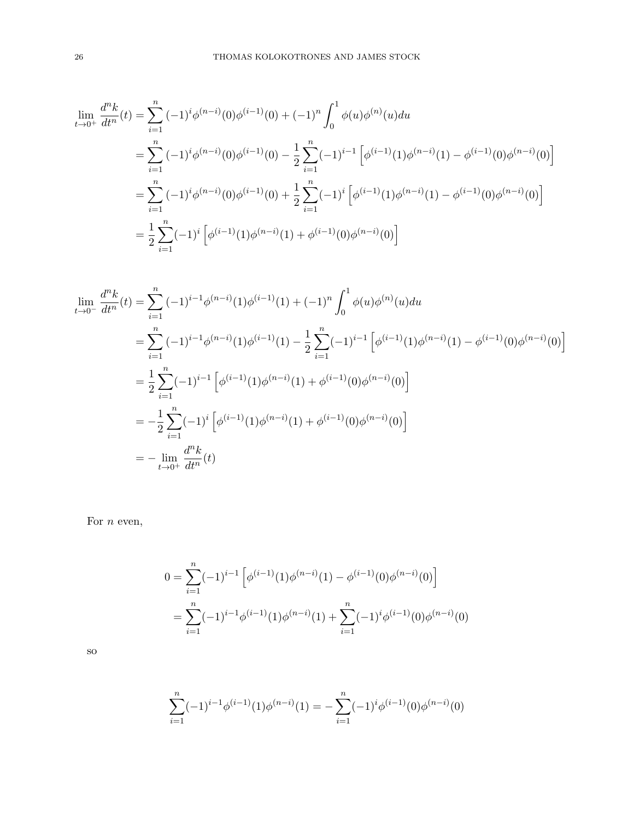$$
\lim_{t \to 0^{+}} \frac{d^{n}k}{dt^{n}}(t) = \sum_{i=1}^{n} (-1)^{i} \phi^{(n-i)}(0) \phi^{(i-1)}(0) + (-1)^{n} \int_{0}^{1} \phi(u) \phi^{(n)}(u) du
$$
\n
$$
= \sum_{i=1}^{n} (-1)^{i} \phi^{(n-i)}(0) \phi^{(i-1)}(0) - \frac{1}{2} \sum_{i=1}^{n} (-1)^{i-1} \left[ \phi^{(i-1)}(1) \phi^{(n-i)}(1) - \phi^{(i-1)}(0) \phi^{(n-i)}(0) \right]
$$
\n
$$
= \sum_{i=1}^{n} (-1)^{i} \phi^{(n-i)}(0) \phi^{(i-1)}(0) + \frac{1}{2} \sum_{i=1}^{n} (-1)^{i} \left[ \phi^{(i-1)}(1) \phi^{(n-i)}(1) - \phi^{(i-1)}(0) \phi^{(n-i)}(0) \right]
$$
\n
$$
= \frac{1}{2} \sum_{i=1}^{n} (-1)^{i} \left[ \phi^{(i-1)}(1) \phi^{(n-i)}(1) + \phi^{(i-1)}(0) \phi^{(n-i)}(0) \right]
$$

$$
\lim_{t \to 0^{-}} \frac{d^n k}{dt^n}(t) = \sum_{i=1}^n (-1)^{i-1} \phi^{(n-i)}(1) \phi^{(i-1)}(1) + (-1)^n \int_0^1 \phi(u) \phi^{(n)}(u) du
$$
\n
$$
= \sum_{i=1}^n (-1)^{i-1} \phi^{(n-i)}(1) \phi^{(i-1)}(1) - \frac{1}{2} \sum_{i=1}^n (-1)^{i-1} \left[ \phi^{(i-1)}(1) \phi^{(n-i)}(1) - \phi^{(i-1)}(0) \phi^{(n-i)}(0) \right]
$$
\n
$$
= \frac{1}{2} \sum_{i=1}^n (-1)^{i-1} \left[ \phi^{(i-1)}(1) \phi^{(n-i)}(1) + \phi^{(i-1)}(0) \phi^{(n-i)}(0) \right]
$$
\n
$$
= -\frac{1}{2} \sum_{i=1}^n (-1)^i \left[ \phi^{(i-1)}(1) \phi^{(n-i)}(1) + \phi^{(i-1)}(0) \phi^{(n-i)}(0) \right]
$$
\n
$$
= -\lim_{t \to 0^+} \frac{d^n k}{dt^n}(t)
$$

For  $n$  even,

$$
0 = \sum_{i=1}^{n} (-1)^{i-1} \left[ \phi^{(i-1)}(1)\phi^{(n-i)}(1) - \phi^{(i-1)}(0)\phi^{(n-i)}(0) \right]
$$
  
= 
$$
\sum_{i=1}^{n} (-1)^{i-1} \phi^{(i-1)}(1)\phi^{(n-i)}(1) + \sum_{i=1}^{n} (-1)^{i} \phi^{(i-1)}(0)\phi^{(n-i)}(0)
$$

so

$$
\sum_{i=1}^{n} (-1)^{i-1} \phi^{(i-1)}(1) \phi^{(n-i)}(1) = -\sum_{i=1}^{n} (-1)^{i} \phi^{(i-1)}(0) \phi^{(n-i)}(0)
$$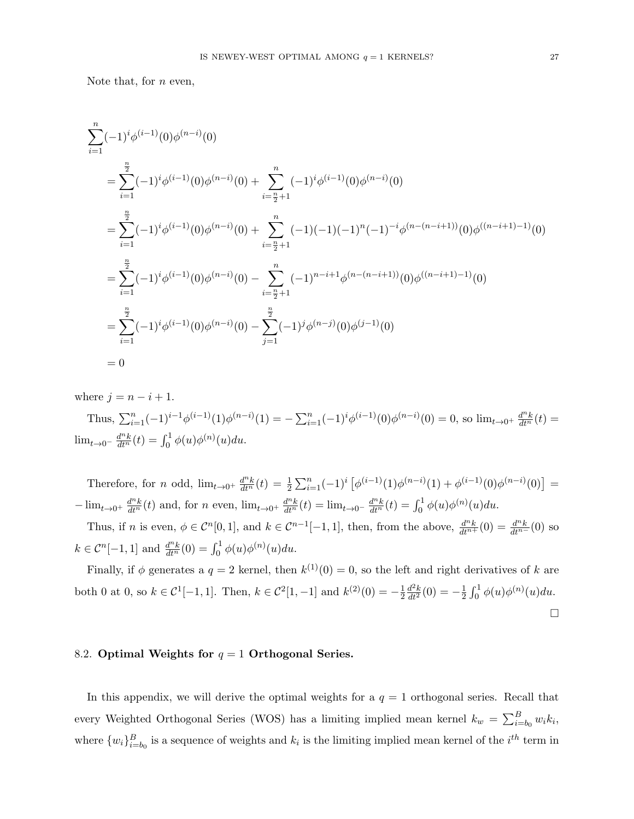Note that, for  $n$  even,

$$
\sum_{i=1}^{n} (-1)^{i} \phi^{(i-1)}(0) \phi^{(n-i)}(0)
$$
\n
$$
= \sum_{i=1}^{\frac{n}{2}} (-1)^{i} \phi^{(i-1)}(0) \phi^{(n-i)}(0) + \sum_{i=\frac{n}{2}+1}^{n} (-1)^{i} \phi^{(i-1)}(0) \phi^{(n-i)}(0)
$$
\n
$$
= \sum_{i=1}^{\frac{n}{2}} (-1)^{i} \phi^{(i-1)}(0) \phi^{(n-i)}(0) + \sum_{i=\frac{n}{2}+1}^{n} (-1)^{i} (-1)^{i} (-1)^{i} (-1)^{i} \phi^{(n-(n-i+1))}(0) \phi^{(n-i+1)-1}(0)
$$
\n
$$
= \sum_{i=1}^{\frac{n}{2}} (-1)^{i} \phi^{(i-1)}(0) \phi^{(n-i)}(0) - \sum_{i=\frac{n}{2}+1}^{n} (-1)^{n-i+1} \phi^{(n-(n-i+1))}(0) \phi^{(n-i+1)-1}(0)
$$
\n
$$
= \sum_{i=1}^{\frac{n}{2}} (-1)^{i} \phi^{(i-1)}(0) \phi^{(n-i)}(0) - \sum_{j=1}^{\frac{n}{2}} (-1)^{j} \phi^{(n-j)}(0) \phi^{(j-1)}(0)
$$
\n
$$
= 0
$$

where  $j = n - i + 1$ .

Thus,  $\sum_{i=1}^{n}(-1)^{i-1}\phi^{(i-1)}(1)\phi^{(n-i)}(1) = -\sum_{i=1}^{n}(-1)^{i}\phi^{(i-1)}(0)\phi^{(n-i)}(0) = 0$ , so  $\lim_{t\to 0^+}\frac{d^n k}{dt^n}(t) =$  $\lim_{t \to 0^{-}} \frac{d^{n}k}{dt^{n}}(t) = \int_{0}^{1} \phi(u)\phi^{(n)}(u)du.$ 

Therefore, for n odd,  $\lim_{t\to 0^+} \frac{d^n k}{dt^n}(t) = \frac{1}{2} \sum_{i=1}^n (-1)^i \left[ \phi^{(i-1)}(1) \phi^{(n-i)}(1) + \phi^{(i-1)}(0) \phi^{(n-i)}(0) \right] =$  $-\lim_{t\to 0^+} \frac{d^n k}{dt^n}(t)$  and, for n even,  $\lim_{t\to 0^+} \frac{d^n k}{dt^n}(t) = \lim_{t\to 0^-} \frac{d^n k}{dt^n}(t) = \int_0^1 \phi(u) \phi^{(n)}(u) du$ .

Thus, if n is even,  $\phi \in C^n[0,1]$ , and  $k \in C^{n-1}[-1,1]$ , then, from the above,  $\frac{d^n k}{dt^{n+1}}(0) = \frac{d^n k}{dt^{n-1}}(0)$  so  $k \in C^{n}[-1, 1]$  and  $\frac{d^{n}k}{dt^{n}}(0) = \int_{0}^{1} \phi(u)\phi^{(n)}(u)du$ .

Finally, if  $\phi$  generates a  $q = 2$  kernel, then  $k^{(1)}(0) = 0$ , so the left and right derivatives of k are both 0 at 0, so  $k \in C^1[-1,1]$ . Then,  $k \in C^2[1,-1]$  and  $k^{(2)}(0) = -\frac{1}{2}$ 2  $\frac{d^2k}{dt^2}(0) = -\frac{1}{2}$  $\frac{1}{2} \int_0^1 \phi(u) \phi^{(n)}(u) du.$  $\Box$ 

# 8.2. Optimal Weights for  $q = 1$  Orthogonal Series.

In this appendix, we will derive the optimal weights for a  $q = 1$  orthogonal series. Recall that every Weighted Orthogonal Series (WOS) has a limiting implied mean kernel  $k_w = \sum_{i=b_0}^{B} w_i k_i$ , where  $\{w_i\}_{i=b_0}^B$  is a sequence of weights and  $k_i$  is the limiting implied mean kernel of the  $i^{th}$  term in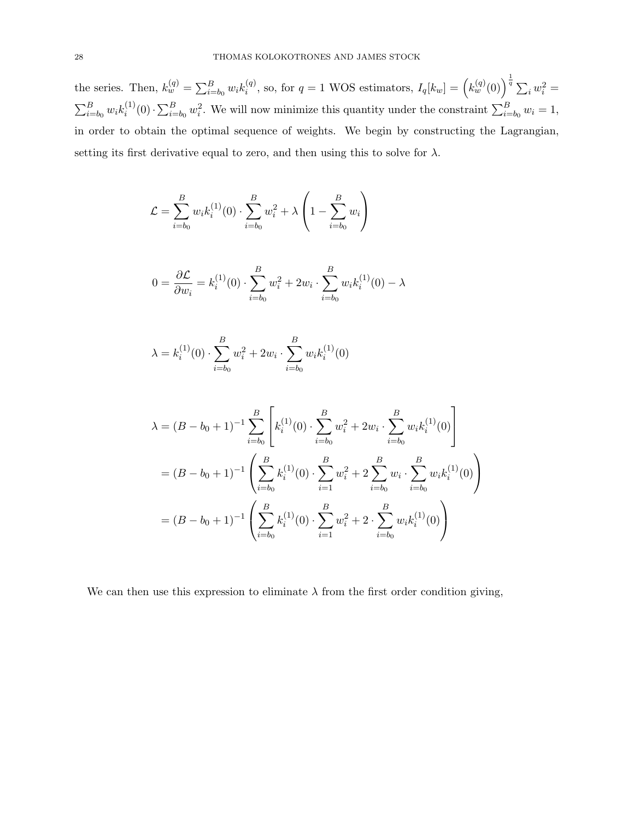the series. Then,  $k_w^{(q)} = \sum_{i=b_0}^{B} w_i k_i^{(q)}$  $i^{(q)}$ , so, for  $q = 1$  WOS estimators,  $I_q[k_w] = (k_w^{(q)}(0))^{1 \over q} \sum_i w_i^2 =$  $\sum_{i=b_0}^{B} w_i k_i^{(1)}$  $\sum_{i=0}^{(1)}(0) \cdot \sum_{i=b_0}^{B} w_i^2$ . We will now minimize this quantity under the constraint  $\sum_{i=b_0}^{B} w_i = 1$ , in order to obtain the optimal sequence of weights. We begin by constructing the Lagrangian, setting its first derivative equal to zero, and then using this to solve for  $\lambda$ .

$$
\mathcal{L} = \sum_{i=b_0}^{B} w_i k_i^{(1)}(0) \cdot \sum_{i=b_0}^{B} w_i^2 + \lambda \left( 1 - \sum_{i=b_0}^{B} w_i \right)
$$

$$
0 = \frac{\partial \mathcal{L}}{\partial w_i} = k_i^{(1)}(0) \cdot \sum_{i=b_0}^{B} w_i^2 + 2w_i \cdot \sum_{i=b_0}^{B} w_i k_i^{(1)}(0) - \lambda
$$

$$
\lambda = k_i^{(1)}(0) \cdot \sum_{i=b_0}^{B} w_i^2 + 2w_i \cdot \sum_{i=b_0}^{B} w_i k_i^{(1)}(0)
$$

$$
\lambda = (B - b_0 + 1)^{-1} \sum_{i=b_0}^{B} \left[ k_i^{(1)}(0) \cdot \sum_{i=b_0}^{B} w_i^2 + 2w_i \cdot \sum_{i=b_0}^{B} w_i k_i^{(1)}(0) \right]
$$
  
=  $(B - b_0 + 1)^{-1} \left( \sum_{i=b_0}^{B} k_i^{(1)}(0) \cdot \sum_{i=1}^{B} w_i^2 + 2 \sum_{i=b_0}^{B} w_i \cdot \sum_{i=b_0}^{B} w_i k_i^{(1)}(0) \right)$   
=  $(B - b_0 + 1)^{-1} \left( \sum_{i=b_0}^{B} k_i^{(1)}(0) \cdot \sum_{i=1}^{B} w_i^2 + 2 \cdot \sum_{i=b_0}^{B} w_i k_i^{(1)}(0) \right)$ 

We can then use this expression to eliminate  $\lambda$  from the first order condition giving,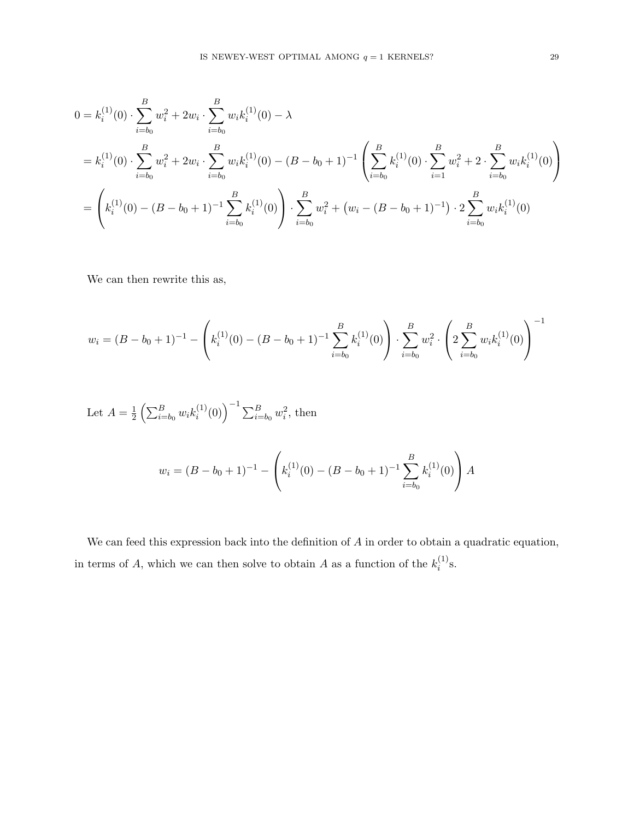$$
0 = k_i^{(1)}(0) \cdot \sum_{i=b_0}^{B} w_i^2 + 2w_i \cdot \sum_{i=b_0}^{B} w_i k_i^{(1)}(0) - \lambda
$$
  
=  $k_i^{(1)}(0) \cdot \sum_{i=b_0}^{B} w_i^2 + 2w_i \cdot \sum_{i=b_0}^{B} w_i k_i^{(1)}(0) - (B - b_0 + 1)^{-1} \left( \sum_{i=b_0}^{B} k_i^{(1)}(0) \cdot \sum_{i=1}^{B} w_i^2 + 2 \cdot \sum_{i=b_0}^{B} w_i k_i^{(1)}(0) \right)$   
=  $\left( k_i^{(1)}(0) - (B - b_0 + 1)^{-1} \sum_{i=b_0}^{B} k_i^{(1)}(0) \right) \cdot \sum_{i=b_0}^{B} w_i^2 + (w_i - (B - b_0 + 1)^{-1}) \cdot 2 \sum_{i=b_0}^{B} w_i k_i^{(1)}(0)$ 

We can then rewrite this as,

$$
w_i = (B - b_0 + 1)^{-1} - \left( k_i^{(1)}(0) - (B - b_0 + 1)^{-1} \sum_{i=b_0}^{B} k_i^{(1)}(0) \right) \cdot \sum_{i=b_0}^{B} w_i^2 \cdot \left( 2 \sum_{i=b_0}^{B} w_i k_i^{(1)}(0) \right)^{-1}
$$

Let 
$$
A = \frac{1}{2} \left( \sum_{i=b_0}^{B} w_i k_i^{(1)}(0) \right)^{-1} \sum_{i=b_0}^{B} w_i^2
$$
, then

$$
w_i = (B - b_0 + 1)^{-1} - \left(k_i^{(1)}(0) - (B - b_0 + 1)^{-1} \sum_{i=b_0}^{B} k_i^{(1)}(0)\right) A
$$

We can feed this expression back into the definition of  $A$  in order to obtain a quadratic equation, in terms of A, which we can then solve to obtain A as a function of the  $k_i^{(1)}$  $i^{(1)}s$ .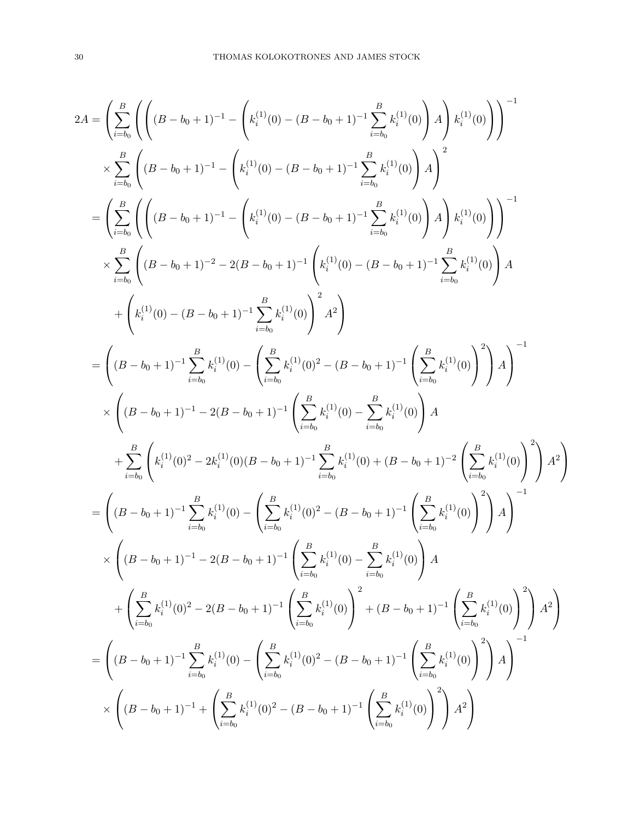$$
2A = \left(\sum_{i=b_0}^{B} \left( \left( (B-b_0+1)^{-1} - \left( k_i^{(1)}(0) - (B-b_0+1)^{-1} \sum_{i=b_0}^{B} k_i^{(1)}(0) \right) A \right) k_i^{(1)}(0) \right) \right)^{-1}
$$
  
\n
$$
\times \sum_{i=b_0}^{B} \left( (B-b_0+1)^{-1} - \left( k_i^{(1)}(0) - (B-b_0+1)^{-1} \sum_{i=b_0}^{B} k_i^{(1)}(0) \right) A \right)^2
$$
  
\n
$$
= \left( \sum_{i=b_0}^{B} \left( \left( (B-b_0+1)^{-1} - \left( k_i^{(1)}(0) - (B-b_0+1)^{-1} \sum_{i=b_0}^{B} k_i^{(1)}(0) \right) A \right) k_i^{(1)}(0) \right) \right)^{-1}
$$
  
\n
$$
\times \sum_{i=b_0}^{B} \left( (B-b_0+1)^{-2} - 2(B-b_0+1)^{-1} \left( k_i^{(1)}(0) - (B-b_0+1)^{-1} \sum_{i=b_0}^{B} k_i^{(1)}(0) \right) A \right)
$$
  
\n
$$
+ \left( k_i^{(1)}(0) - (B-b_0+1)^{-1} \sum_{i=b_0}^{B} k_i^{(1)}(0) \right)^2 A^2 \right)
$$
  
\n
$$
= \left( (B-b_0+1)^{-1} \sum_{i=b_0}^{B} k_i^{(1)}(0) - \left( \sum_{i=b_0}^{B} k_i^{(1)}(0)^2 - (B-b_0+1)^{-1} \left( \sum_{i=b_0}^{B} k_i^{(1)}(0) \right)^2 \right) A \right)^{-1}
$$
  
\n
$$
\times \left( (B-b_0+1)^{-1} - 2(B-b_0+1)^{-1} \left( \sum_{i=b_0}^{B} k_i^{(1)}(0) - \sum_{i=b_0}^{B} k_i^{(1)}(0) \right) A
$$
  
\n
$$
+ \sum_{i=b_0}^{B} \left( k_i^{(1)}(0)^2 - 2k_i^{(1)}(0)(B-b_0+1)^{-1} \sum_{i=b_0}^{B} k_i^{(1)}(0
$$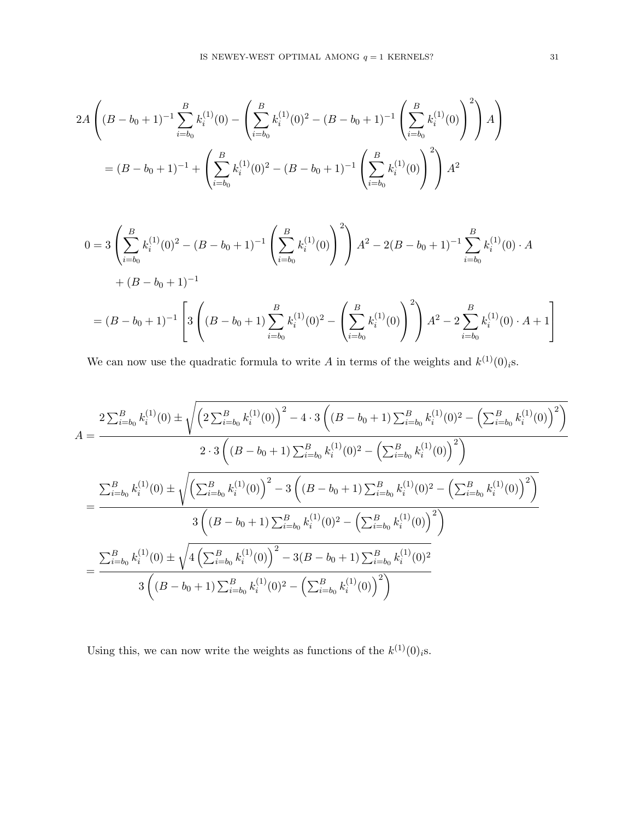$$
2A\left((B-b_0+1)^{-1}\sum_{i=b_0}^{B}k_i^{(1)}(0)-\left(\sum_{i=b_0}^{B}k_i^{(1)}(0)^2-(B-b_0+1)^{-1}\left(\sum_{i=b_0}^{B}k_i^{(1)}(0)\right)^2\right)A\right)
$$

$$
=(B-b_0+1)^{-1}+\left(\sum_{i=b_0}^{B}k_i^{(1)}(0)^2-(B-b_0+1)^{-1}\left(\sum_{i=b_0}^{B}k_i^{(1)}(0)\right)^2\right)A^2
$$

$$
0 = 3 \left( \sum_{i=b_0}^{B} k_i^{(1)}(0)^2 - (B - b_0 + 1)^{-1} \left( \sum_{i=b_0}^{B} k_i^{(1)}(0) \right)^2 \right) A^2 - 2(B - b_0 + 1)^{-1} \sum_{i=b_0}^{B} k_i^{(1)}(0) \cdot A
$$
  
+  $(B - b_0 + 1)^{-1}$   
=  $(B - b_0 + 1)^{-1}$   $\left[ 3 \left( (B - b_0 + 1) \sum_{i=b_0}^{B} k_i^{(1)}(0)^2 - \left( \sum_{i=b_0}^{B} k_i^{(1)}(0) \right)^2 \right) A^2 - 2 \sum_{i=b_0}^{B} k_i^{(1)}(0) \cdot A + 1 \right]$ 

We can now use the quadratic formula to write A in terms of the weights and  $k^{(1)}(0)$ <sub>i</sub>s.

$$
A = \frac{2\sum_{i=b_0}^{B}k_i^{(1)}(0) \pm \sqrt{\left(2\sum_{i=b_0}^{B}k_i^{(1)}(0)\right)^2 - 4 \cdot 3\left((B-b_0+1)\sum_{i=b_0}^{B}k_i^{(1)}(0)^2 - \left(\sum_{i=b_0}^{B}k_i^{(1)}(0)\right)^2\right)}}{2 \cdot 3\left((B-b_0+1)\sum_{i=b_0}^{B}k_i^{(1)}(0)^2 - \left(\sum_{i=b_0}^{B}k_i^{(1)}(0)\right)^2\right)}
$$

$$
= \frac{\sum_{i=b_0}^{B}k_i^{(1)}(0) \pm \sqrt{\left(\sum_{i=b_0}^{B}k_i^{(1)}(0)\right)^2 - 3\left((B-b_0+1)\sum_{i=b_0}^{B}k_i^{(1)}(0)^2 - \left(\sum_{i=b_0}^{B}k_i^{(1)}(0)\right)^2\right)}}{3\left((B-b_0+1)\sum_{i=b_0}^{B}k_i^{(1)}(0)^2 - \left(\sum_{i=b_0}^{B}k_i^{(1)}(0)\right)^2\right)}
$$

$$
= \frac{\sum_{i=b_0}^{B}k_i^{(1)}(0) \pm \sqrt{4\left(\sum_{i=b_0}^{B}k_i^{(1)}(0)\right)^2 - 3(B-b_0+1)\sum_{i=b_0}^{B}k_i^{(1)}(0)^2}}{3\left((B-b_0+1)\sum_{i=b_0}^{B}k_i^{(1)}(0)^2 - \left(\sum_{i=b_0}^{B}k_i^{(1)}(0)\right)^2\right)}
$$

Using this, we can now write the weights as functions of the  $k^{(1)}(0)$ <sub>i</sub>s.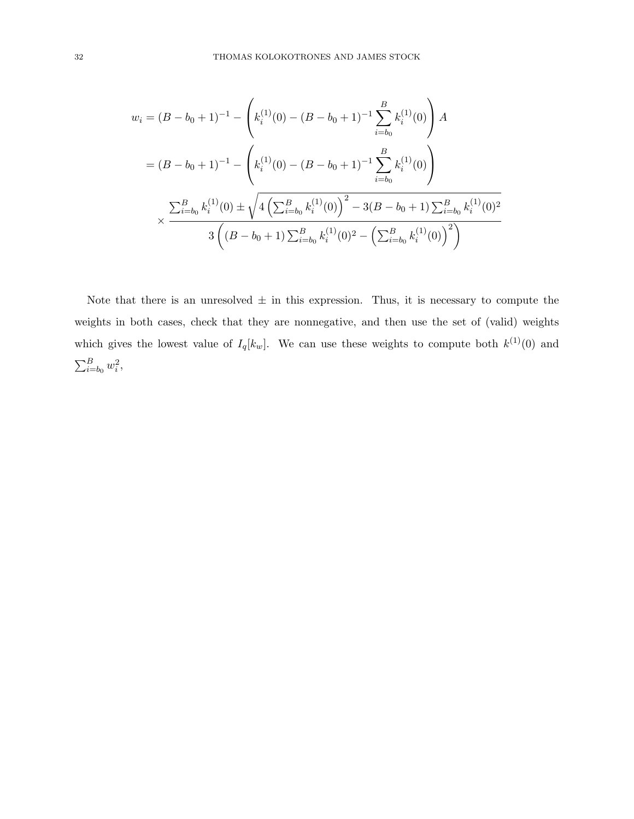$$
w_i = (B - b_0 + 1)^{-1} - \left(k_i^{(1)}(0) - (B - b_0 + 1)^{-1} \sum_{i=b_0}^{B} k_i^{(1)}(0)\right) A
$$
  
=  $(B - b_0 + 1)^{-1} - \left(k_i^{(1)}(0) - (B - b_0 + 1)^{-1} \sum_{i=b_0}^{B} k_i^{(1)}(0)\right)$   

$$
\times \frac{\sum_{i=b_0}^{B} k_i^{(1)}(0) \pm \sqrt{4\left(\sum_{i=b_0}^{B} k_i^{(1)}(0)\right)^2 - 3(B - b_0 + 1) \sum_{i=b_0}^{B} k_i^{(1)}(0)^2}}{3\left((B - b_0 + 1) \sum_{i=b_0}^{B} k_i^{(1)}(0)^2 - \left(\sum_{i=b_0}^{B} k_i^{(1)}(0)\right)^2\right)}
$$

Note that there is an unresolved  $\pm$  in this expression. Thus, it is necessary to compute the weights in both cases, check that they are nonnegative, and then use the set of (valid) weights which gives the lowest value of  $I_q[k_w]$ . We can use these weights to compute both  $k^{(1)}(0)$  and  $\sum_{i=b_0}^{B} w_i^2,$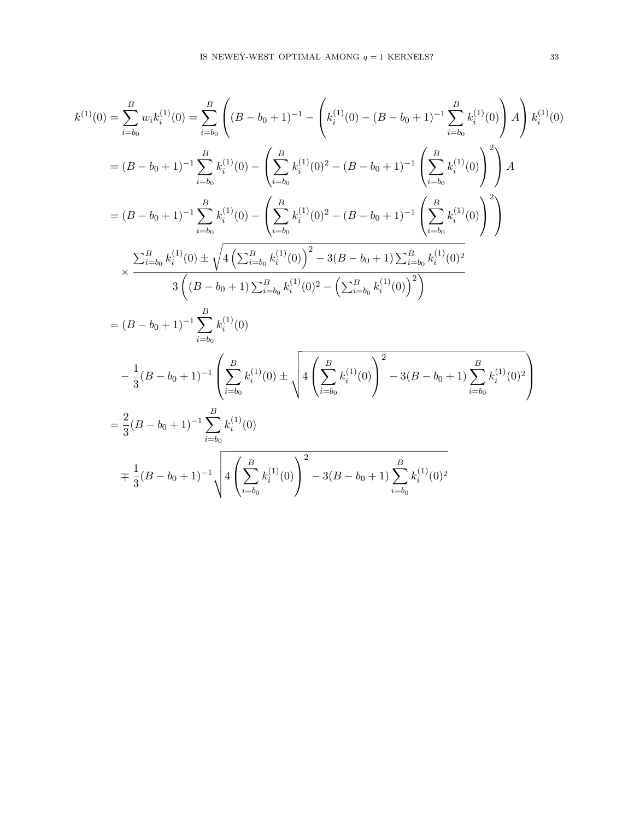$$
k^{(1)}(0) = \sum_{i=b_0}^{B} w_i k_i^{(1)}(0) = \sum_{i=b_0}^{B} \left( (B - b_0 + 1)^{-1} - \left( k_i^{(1)}(0) - (B - b_0 + 1)^{-1} \sum_{i=b_0}^{B} k_i^{(1)}(0) \right) A \right) k_i^{(1)}(0)
$$
  
\n
$$
= (B - b_0 + 1)^{-1} \sum_{i=b_0}^{B} k_i^{(1)}(0) - \left( \sum_{i=b_0}^{B} k_i^{(1)}(0)^2 - (B - b_0 + 1)^{-1} \left( \sum_{i=b_0}^{B} k_i^{(1)}(0) \right)^2 \right) A
$$
  
\n
$$
= (B - b_0 + 1)^{-1} \sum_{i=b_0}^{B} k_i^{(1)}(0) - \left( \sum_{i=b_0}^{B} k_i^{(1)}(0)^2 - (B - b_0 + 1)^{-1} \left( \sum_{i=b_0}^{B} k_i^{(1)}(0) \right)^2 \right)
$$
  
\n
$$
\times \frac{\sum_{i=b_0}^{B} k_i^{(1)}(0) \pm \sqrt{4 \left( \sum_{i=b_0}^{B} k_i^{(1)}(0) \right)^2 - 3(B - b_0 + 1) \sum_{i=b_0}^{B} k_i^{(1)}(0)^2}}{3 \left( (B - b_0 + 1) \sum_{i=b_0}^{B} k_i^{(1)}(0)^2 - \left( \sum_{i=b_0}^{B} k_i^{(1)}(0) \right)^2 \right)}
$$
  
\n
$$
= (B - b_0 + 1)^{-1} \sum_{i=b_0}^{B} k_i^{(1)}(0)
$$
  
\n
$$
- \frac{1}{3} (B - b_0 + 1)^{-1} \left( \sum_{i=b_0}^{B} k_i^{(1)}(0) \pm \sqrt{4 \left( \sum_{i=b_0}^{B} k_i^{(1)}(0) \right)^2 - 3(B - b_0 + 1) \sum_{i=b_0}^{B} k_i^{(1)}(0)^2} \right)
$$
  
\n
$$
= \frac{2}{3} (B - b_0 + 1)^{-1} \sqrt{4 \left( \sum_{i=b_0}^{B} k_i^{(1)}(0) \right)^2 - 3(B - b
$$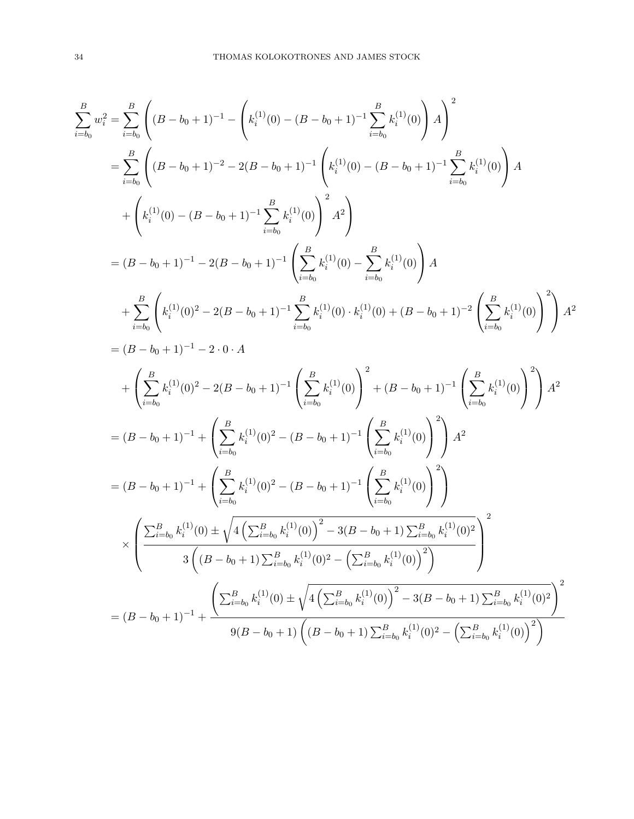$$
\sum_{i=b_0}^{B} w_i^2 = \sum_{i=b_0}^{B} \left( (B - b_0 + 1)^{-1} - \left( k_i^{(1)}(0) - (B - b_0 + 1)^{-1} \sum_{i=b_0}^{B} k_i^{(1)}(0) \right) A \right)^2
$$
\n
$$
= \sum_{i=b_0}^{B} \left( (B - b_0 + 1)^{-2} - 2(B - b_0 + 1)^{-1} \left( k_i^{(1)}(0) - (B - b_0 + 1)^{-1} \sum_{i=b_0}^{B} k_i^{(1)}(0) \right) A + \left( k_i^{(1)}(0) - (B - b_0 + 1)^{-1} \sum_{i=b_0}^{B} k_i^{(1)}(0) \right)^2 A^2 \right)
$$
\n
$$
= (B - b_0 + 1)^{-1} - 2(B - b_0 + 1)^{-1} \left( \sum_{i=b_0}^{B} k_i^{(1)}(0) - \sum_{i=b_0}^{B} k_i^{(1)}(0) \right) A
$$
\n
$$
+ \sum_{i=b_0}^{B} \left( k_i^{(1)}(0)^2 - 2(B - b_0 + 1)^{-1} \sum_{i=b_0}^{B} k_i^{(1)}(0) \cdot k_i^{(1)}(0) + (B - b_0 + 1)^{-2} \left( \sum_{i=b_0}^{B} k_i^{(1)}(0) \right)^2 \right) A^2
$$
\n
$$
= (B - b_0 + 1)^{-1} - 2 \cdot 0 \cdot A
$$
\n
$$
+ \left( \sum_{i=b_0}^{B} k_i^{(1)}(0)^2 - 2(B - b_0 + 1)^{-1} \left( \sum_{i=b_0}^{B} k_i^{(1)}(0) \right)^2 + (B - b_0 + 1)^{-1} \left( \sum_{i=b_0}^{B} k_i^{(1)}(0) \right)^2 \right) A^2
$$
\n
$$
= (B - b_0 + 1)^{-1} + \left( \sum_{i=b_0}^{B} k_i^{(1)}(0)^2 - (B - b_0 + 1)^{-1} \left( \sum_{i=b_0}^{B} k_i^{(1)}(0) \right)^2 \right) A^2
$$
\n
$$
\times \left( \frac{\sum_{i=b_0}^{B} k_i^{(1)}(
$$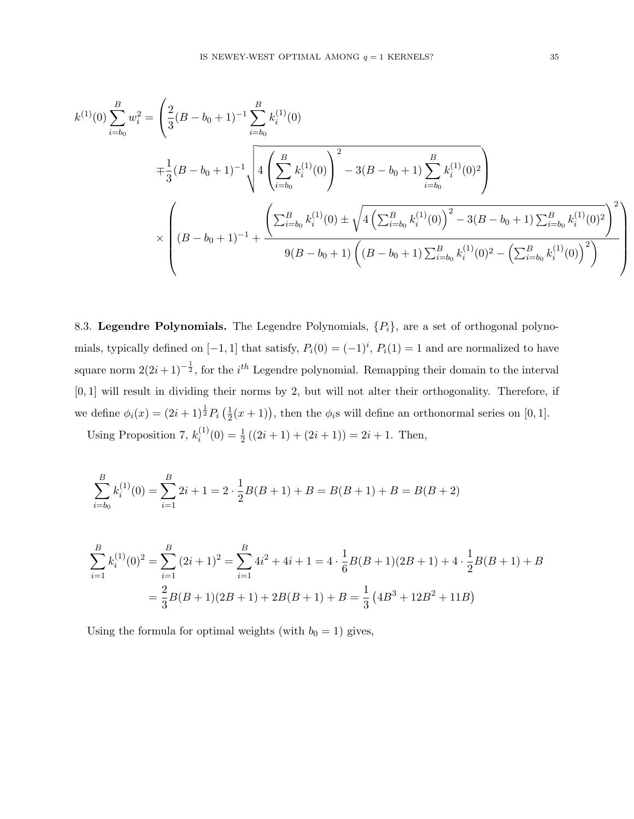$$
k^{(1)}(0) \sum_{i=b_0}^{B} w_i^2 = \left(\frac{2}{3}(B - b_0 + 1)^{-1} \sum_{i=b_0}^{B} k_i^{(1)}(0) + \frac{1}{3}(B - b_0 + 1)^{-1} \sqrt{4\left(\sum_{i=b_0}^{B} k_i^{(1)}(0)\right)^2 - 3(B - b_0 + 1) \sum_{i=b_0}^{B} k_i^{(1)}(0)^2}\right)}
$$
  

$$
\times \left((B - b_0 + 1)^{-1} + \frac{\left(\sum_{i=b_0}^{B} k_i^{(1)}(0) \pm \sqrt{4\left(\sum_{i=b_0}^{B} k_i^{(1)}(0)\right)^2 - 3(B - b_0 + 1) \sum_{i=b_0}^{B} k_i^{(1)}(0)^2}\right)^2}{9(B - b_0 + 1)\left((B - b_0 + 1) \sum_{i=b_0}^{B} k_i^{(1)}(0)^2 - \left(\sum_{i=b_0}^{B} k_i^{(1)}(0)\right)^2\right)}\right)
$$

8.3. Legendre Polynomials. The Legendre Polynomials,  $\{P_i\}$ , are a set of orthogonal polynomials, typically defined on  $[-1, 1]$  that satisfy,  $P_i(0) = (-1)^i$ ,  $P_i(1) = 1$  and are normalized to have square norm  $2(2i+1)^{-\frac{1}{2}}$ , for the  $i^{th}$  Legendre polynomial. Remapping their domain to the interval [0, 1] will result in dividing their norms by 2, but will not alter their orthogonality. Therefore, if we define  $\phi_i(x) = (2i+1)^{\frac{1}{2}} P_i \left(\frac{1}{2}\right)$  $(\frac{1}{2}(x+1))$ , then the  $\phi_i$ s will define an orthonormal series on [0, 1]. Using Proposition 7,  $k_i^{(1)}$ 

 $i_i^{(1)}(0) = \frac{1}{2}((2i+1) + (2i+1)) = 2i+1$ . Then,

$$
\sum_{i=b_0}^{B} k_i^{(1)}(0) = \sum_{i=1}^{B} 2i + 1 = 2 \cdot \frac{1}{2} B(B+1) + B = B(B+1) + B = B(B+2)
$$

$$
\sum_{i=1}^{B} k_i^{(1)}(0)^2 = \sum_{i=1}^{B} (2i+1)^2 = \sum_{i=1}^{B} 4i^2 + 4i + 1 = 4 \cdot \frac{1}{6}B(B+1)(2B+1) + 4 \cdot \frac{1}{2}B(B+1) + B
$$

$$
= \frac{2}{3}B(B+1)(2B+1) + 2B(B+1) + B = \frac{1}{3}(4B^3 + 12B^2 + 11B)
$$

Using the formula for optimal weights (with  $b_0 = 1$ ) gives,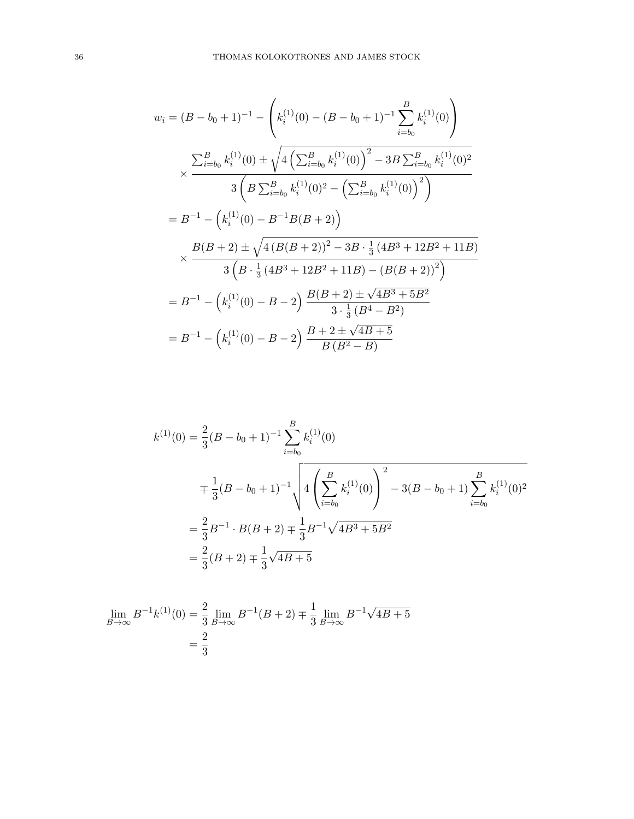$$
w_i = (B - b_0 + 1)^{-1} - \left(k_i^{(1)}(0) - (B - b_0 + 1)^{-1} \sum_{i=b_0}^{B} k_i^{(1)}(0)\right)
$$
  

$$
\times \frac{\sum_{i=b_0}^{B} k_i^{(1)}(0) \pm \sqrt{4\left(\sum_{i=b_0}^{B} k_i^{(1)}(0)\right)^2 - 3B \sum_{i=b_0}^{B} k_i^{(1)}(0)^2}}{3\left(B \sum_{i=b_0}^{B} k_i^{(1)}(0)^2 - \left(\sum_{i=b_0}^{B} k_i^{(1)}(0)\right)^2\right)}
$$
  

$$
= B^{-1} - \left(k_i^{(1)}(0) - B^{-1}B(B + 2)\right)
$$
  

$$
\times \frac{B(B + 2) \pm \sqrt{4(B(B + 2))^2 - 3B \cdot \frac{1}{3}(4B^3 + 12B^2 + 11B)}}{3\left(B \cdot \frac{1}{3}(4B^3 + 12B^2 + 11B) - (B(B + 2))^2\right)}
$$
  

$$
= B^{-1} - \left(k_i^{(1)}(0) - B - 2\right) \frac{B(B + 2) \pm \sqrt{4B^3 + 5B^2}}{3 \cdot \frac{1}{3}(B^4 - B^2)}
$$
  

$$
= B^{-1} - \left(k_i^{(1)}(0) - B - 2\right) \frac{B + 2 \pm \sqrt{4B + 5}}{B(B^2 - B)}
$$

$$
k^{(1)}(0) = \frac{2}{3}(B - b_0 + 1)^{-1} \sum_{i=b_0}^{B} k_i^{(1)}(0)
$$
  

$$
= \frac{1}{3}(B - b_0 + 1)^{-1} \sqrt{4\left(\sum_{i=b_0}^{B} k_i^{(1)}(0)\right)^2 - 3(B - b_0 + 1) \sum_{i=b_0}^{B} k_i^{(1)}(0)^2}
$$
  

$$
= \frac{2}{3}B^{-1} \cdot B(B + 2) \pm \frac{1}{3}B^{-1} \sqrt{4B^3 + 5B^2}
$$
  

$$
= \frac{2}{3}(B + 2) \pm \frac{1}{3}\sqrt{4B + 5}
$$

$$
\lim_{B \to \infty} B^{-1} k^{(1)}(0) = \frac{2}{3} \lim_{B \to \infty} B^{-1}(B+2) \mp \frac{1}{3} \lim_{B \to \infty} B^{-1} \sqrt{4B+5}
$$

$$
= \frac{2}{3}
$$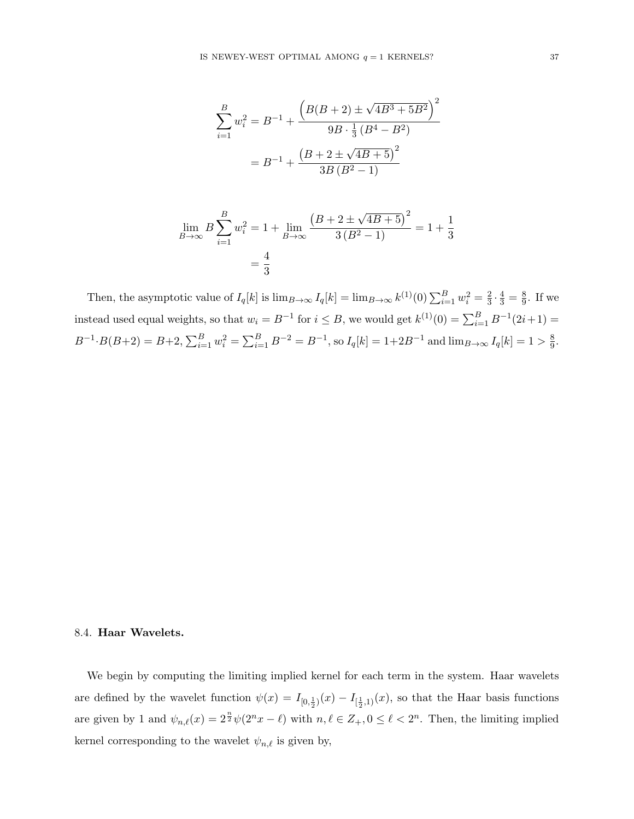$$
\sum_{i=1}^{B} w_i^2 = B^{-1} + \frac{\left(B(B+2) \pm \sqrt{4B^3 + 5B^2}\right)^2}{9B \cdot \frac{1}{3} (B^4 - B^2)}
$$

$$
= B^{-1} + \frac{\left(B + 2 \pm \sqrt{4B + 5}\right)^2}{3B (B^2 - 1)}
$$

$$
\lim_{B \to \infty} B \sum_{i=1}^{B} w_i^2 = 1 + \lim_{B \to \infty} \frac{\left(B + 2 \pm \sqrt{4B + 5}\right)^2}{3\left(B^2 - 1\right)} = 1 + \frac{1}{3}
$$

$$
= \frac{4}{3}
$$

Then, the asymptotic value of  $I_q[k]$  is  $\lim_{B\to\infty} I_q[k] = \lim_{B\to\infty} k^{(1)}(0) \sum_{i=1}^B w_i^2 = \frac{2}{3}$  $\frac{2}{3} \cdot \frac{4}{3} = \frac{8}{9}$  $\frac{8}{9}$ . If we instead used equal weights, so that  $w_i = B^{-1}$  for  $i \leq B$ , we would get  $k^{(1)}(0) = \sum_{i=1}^{B} B^{-1}(2i+1) =$  $B^{-1} \cdot B(B+2) = B+2$ ,  $\sum_{i=1}^{B} w_i^2 = \sum_{i=1}^{B} B^{-2} = B^{-1}$ , so  $I_q[k] = 1+2B^{-1}$  and  $\lim_{B \to \infty} I_q[k] = 1 > \frac{8}{9}$  $\frac{8}{9}$ .

### 8.4. Haar Wavelets.

We begin by computing the limiting implied kernel for each term in the system. Haar wavelets are defined by the wavelet function  $\psi(x) = I_{[0, \frac{1}{2})}(x) - I_{[\frac{1}{2}, 1)}(x)$ , so that the Haar basis functions are given by 1 and  $\psi_{n,\ell}(x) = 2^{\frac{n}{2}} \psi(2^n x - \ell)$  with  $n, \ell \in \mathbb{Z}_+, 0 \leq \ell < 2^n$ . Then, the limiting implied kernel corresponding to the wavelet  $\psi_{n,\ell}$  is given by,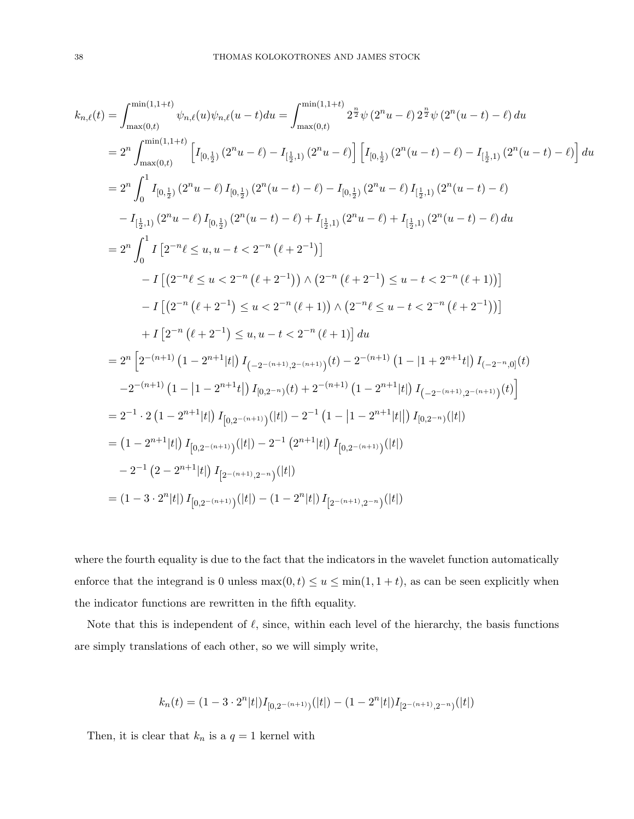$$
k_{n,\ell}(t) = \int_{\max(0,t)}^{\min(1,1+t)} \psi_{n,\ell}(u)\psi_{n,\ell}(u-t)du = \int_{\max(0,t)}^{\min(1,1+t)} 2^{\frac{n}{2}}\psi(2^{n}u-\ell) 2^{\frac{n}{2}}\psi(2^{n}(u-t)-\ell) du
$$
  
\n
$$
= 2^{n} \int_{\max(0,t)}^{\min(1,1+t)} \left[ I_{[0,\frac{1}{2})}(2^{n}u-\ell) - I_{[\frac{1}{2},1)}(2^{n}u-\ell) \right] \left[ I_{[0,\frac{1}{2})}(2^{n}(u-t)-\ell) - I_{[\frac{1}{2},1)}(2^{n}(u-t)-\ell) \right] du
$$
  
\n
$$
= 2^{n} \int_{0}^{1} I_{[0,\frac{1}{2})}(2^{n}u-\ell) I_{[0,\frac{1}{2})}(2^{n}(u-t)-\ell) - I_{[0,\frac{1}{2})}(2^{n}u-\ell) I_{[\frac{1}{2},1)}(2^{n}(u-t)-\ell)
$$
  
\n
$$
-I_{[\frac{1}{2},1)}(2^{n}u-\ell) I_{[0,\frac{1}{2})}(2^{n}(u-t)-\ell) + I_{[\frac{1}{2},1)}(2^{n}u-\ell) + I_{[\frac{1}{2},1)}(2^{n}(u-t)-\ell) du
$$
  
\n
$$
= 2^{n} \int_{0}^{1} I_{[2^{-n}\ell \leq u, u-t < 2^{-n}(\ell+2^{-1})]
$$
  
\n
$$
-I_{[2^{-n}(\ell+2^{-1}) \leq u < 2^{-n}(\ell+1)) \wedge (2^{-n}(\ell+2^{-1}) \leq u-t < 2^{-n}(\ell+1))]
$$
  
\n
$$
-I_{[2^{-n}(\ell+2^{-1}) \leq u, u-t < 2^{-n}(\ell+1)] du
$$
  
\n
$$
= 2^{n} \left[ 2^{-(n+1)} (1 - 2^{n+1}|\ell|) I_{(-2^{-(n+1)},2^{-(n+1)})}(t) - 2^{-(n+1)} (1 - |1 + 2^{n+1}t|) I_{(-2^{-n},0]}(t) \right]
$$
  
\n
$$
-2^{-(n+1)} (1 - |1 - 2^{n+
$$

where the fourth equality is due to the fact that the indicators in the wavelet function automatically enforce that the integrand is 0 unless  $\max(0, t) \le u \le \min(1, 1 + t)$ , as can be seen explicitly when the indicator functions are rewritten in the fifth equality.

Note that this is independent of  $\ell$ , since, within each level of the hierarchy, the basis functions are simply translations of each other, so we will simply write,

$$
k_n(t)=(1-3\cdot2^n|t|)I_{[0,2^{-(n+1)})}(|t|)-(1-2^n|t|)I_{[2^{-(n+1)},2^{-n})}(|t|)
$$

Then, it is clear that  $k_n$  is a  $q = 1$  kernel with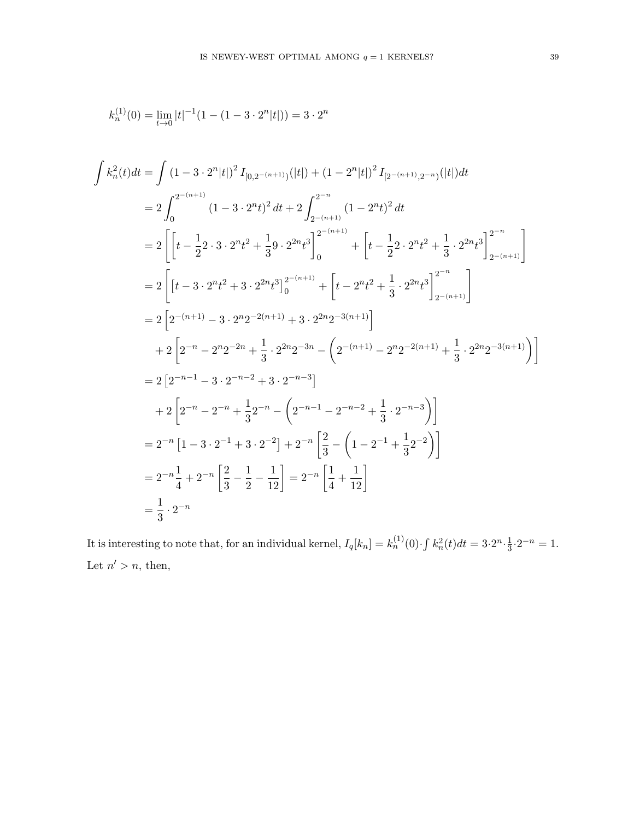$$
k_n^{(1)}(0) = \lim_{t \to 0} |t|^{-1} (1 - (1 - 3 \cdot 2^n |t|)) = 3 \cdot 2^n
$$

$$
\int k_n^2(t)dt = \int (1-3 \cdot 2^n|t|)^2 I_{[0,2-(n+1))}(|t|) + (1-2^n|t|)^2 I_{[2-(n+1),2-n)}(|t|)dt
$$
  
\n
$$
= 2 \int_0^{2^{-(n+1)}} (1-3 \cdot 2^n t)^2 dt + 2 \int_{2^{-(n+1)}}^{2^{-n}} (1-2^n t)^2 dt
$$
  
\n
$$
= 2 \left[ \left[ t - \frac{1}{2} 2 \cdot 3 \cdot 2^n t^2 + \frac{1}{3} 9 \cdot 2^{2n} t^3 \right]_0^{2^{-(n+1)}} + \left[ t - \frac{1}{2} 2 \cdot 2^n t^2 + \frac{1}{3} \cdot 2^{2n} t^3 \right]_{2^{-(n+1)}}^{2^{-n}} \right]
$$
  
\n
$$
= 2 \left[ t - 3 \cdot 2^n t^2 + 3 \cdot 2^{2n} t^3 \right]_0^{2^{-(n+1)}} + \left[ t - 2^n t^2 + \frac{1}{3} \cdot 2^{2n} t^3 \right]_{2^{-(n+1)}}^{2^{-n}} \right]
$$
  
\n
$$
= 2 \left[ 2^{-(n+1)} - 3 \cdot 2^{n} 2^{-2(n+1)} + 3 \cdot 2^{2n} 2^{-3(n+1)} \right]
$$
  
\n
$$
+ 2 \left[ 2^{-n} - 2^{n} 2^{-2n} + \frac{1}{3} \cdot 2^{2n} 2^{-3n} - \left( 2^{-(n+1)} - 2^{n} 2^{-2(n+1)} + \frac{1}{3} \cdot 2^{2n} 2^{-3(n+1)} \right) \right]
$$
  
\n
$$
= 2 \left[ 2^{-n-1} - 3 \cdot 2^{-n-2} + 3 \cdot 2^{-n-3} \right]
$$
  
\n
$$
+ 2 \left[ 2^{-n} - 2^{-n} + \frac{1}{3} 2^{-n} - \left( 2^{-n-1} - 2^{-n-2} + \frac{1}{3} \cdot 2^{-n-3} \right) \right]
$$
  
\n
$$
= 2^{-n} \left[ 1 - 3 \cdot 2^{-1} + 3 \cdot 2^{-2} \right] + 2^{-n} \left[ \frac{2}{3} - \left( 1
$$

It is interesting to note that, for an individual kernel,  $I_q[k_n] = k_n^{(1)}(0) \cdot \int k_n^2(t)dt = 3 \cdot 2^n \cdot \frac{1}{3}$  $\frac{1}{3} \cdot 2^{-n} = 1.$ Let  $n' > n$ , then,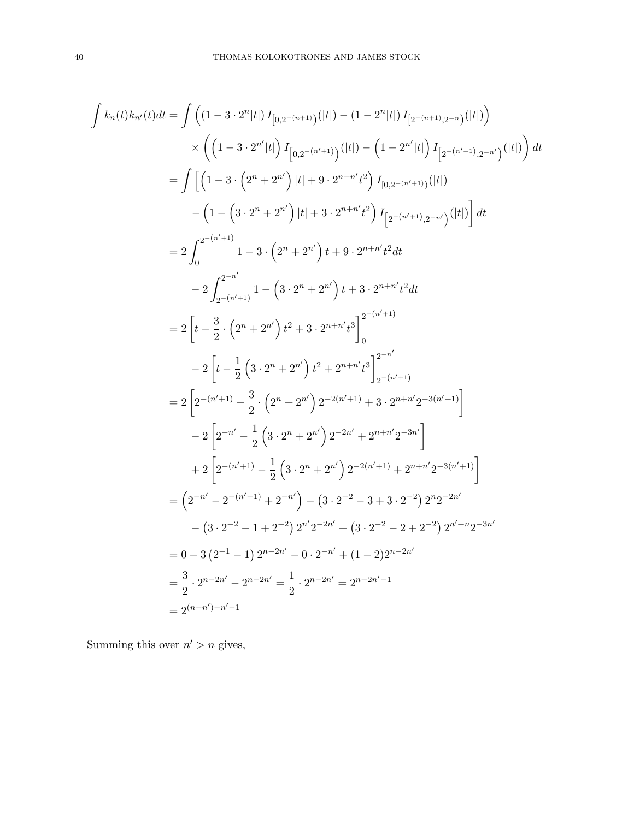$$
\int k_n(t)k_{n'}(t)dt = \int \left( (1-3 \cdot 2^n |t|) I_{[0,2-(n+1))}(|t|) - (1-2^n |t|) I_{[2-(n+1),2-n)}(|t|) \right) \times \left( \left( 1-3 \cdot 2^{n'} |t| \right) I_{[0,2-(n'+1))}(|t|) - \left( 1-2^{n'} |t| \right) I_{[2-(n'+1),2-n')}(|t|) \right) dt
$$
  
\n
$$
= \int \left[ \left( 1-3 \cdot \left( 2^n + 2^{n'} \right) |t| + 9 \cdot 2^{n+n'} t^2 \right) I_{[0,2-(n'+1),2-n')}(|t|) \right] dt
$$
  
\n
$$
- \left( 1- \left( 3 \cdot 2^n + 2^{n'} \right) |t| + 3 \cdot 2^{n+n'} t^2 \right) I_{[2-(n'+1),2-n')}(|t|) dt
$$
  
\n
$$
= 2 \int_0^{2-(n'+1)} 1-3 \cdot \left( 2^n + 2^{n'} \right) t + 9 \cdot 2^{n+n'} t^2 dt
$$
  
\n
$$
- 2 \int_{2-(n'+1)}^{2^{-n'}} 1- \left( 3 \cdot 2^n + 2^{n'} \right) t + 3 \cdot 2^{n+n'} t^2 dt
$$
  
\n
$$
= 2 \left[ t - \frac{3}{2} \cdot \left( 2^n + 2^{n'} \right) t^2 + 3 \cdot 2^{n+n'} t^3 \right]_0^{2-(n'+1)}
$$
  
\n
$$
- 2 \left[ t - \frac{1}{2} \left( 3 \cdot 2^n + 2^{n'} \right) t^2 + 2^{n+n'} t^3 \right]_2^{2^{-n'}}
$$
  
\n
$$
= 2 \left[ 2^{-(n'+1)} - \frac{3}{2} \cdot \left( 2^n + 2^{n'} \right) 2^{-2(n'+1)} + 3 \cdot 2^{n+n'} 2^{-3(n'+1)} \right]
$$
  
\n
$$
- 2 \left[ 2^{-(n'+1)} - \frac{1}{2} \left( 3 \cdot 2^n + 2^{n'} \right) 2^{-2(n'+1)} + 3 \cdot 2^{n+n'} 2^{-3(n'+1)} \right]
$$
  
\n

Summing this over  $n' > n$  gives,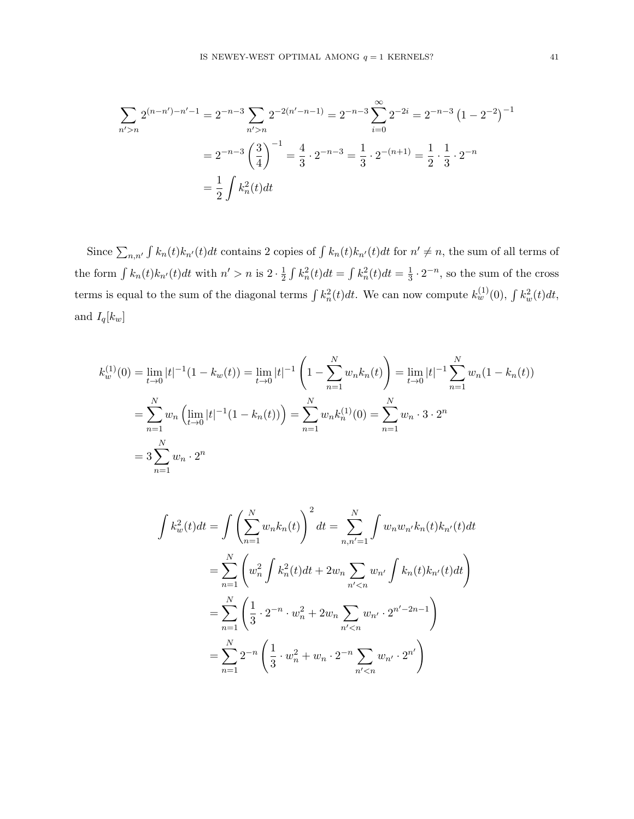$$
\sum_{n'>n} 2^{(n-n')-n'-1} = 2^{-n-3} \sum_{n'>n} 2^{-2(n'-n-1)} = 2^{-n-3} \sum_{i=0}^{\infty} 2^{-2i} = 2^{-n-3} (1 - 2^{-2})^{-1}
$$

$$
= 2^{-n-3} \left(\frac{3}{4}\right)^{-1} = \frac{4}{3} \cdot 2^{-n-3} = \frac{1}{3} \cdot 2^{-(n+1)} = \frac{1}{2} \cdot \frac{1}{3} \cdot 2^{-n}
$$

$$
= \frac{1}{2} \int k_n^2(t) dt
$$

Since  $\sum_{n,n'} \int k_n(t)k_{n'}(t)dt$  contains 2 copies of  $\int k_n(t)k_{n'}(t)dt$  for  $n' \neq n$ , the sum of all terms of the form  $\int k_n(t)k_{n'}(t)dt$  with  $n' > n$  is  $2 \cdot \frac{1}{2}$  $\frac{1}{2} \int k_n^2(t)dt = \int k_n^2(t)dt = \frac{1}{3}$  $\frac{1}{3} \cdot 2^{-n}$ , so the sum of the cross terms is equal to the sum of the diagonal terms  $\int k_n^2(t)dt$ . We can now compute  $k_w^{(1)}(0)$ ,  $\int k_w^2(t)dt$ , and  $I_q[k_w]$ 

$$
k_w^{(1)}(0) = \lim_{t \to 0} |t|^{-1} (1 - k_w(t)) = \lim_{t \to 0} |t|^{-1} \left( 1 - \sum_{n=1}^N w_n k_n(t) \right) = \lim_{t \to 0} |t|^{-1} \sum_{n=1}^N w_n (1 - k_n(t))
$$
  
= 
$$
\sum_{n=1}^N w_n \left( \lim_{t \to 0} |t|^{-1} (1 - k_n(t)) \right) = \sum_{n=1}^N w_n k_n^{(1)}(0) = \sum_{n=1}^N w_n \cdot 3 \cdot 2^n
$$
  
= 
$$
3 \sum_{n=1}^N w_n \cdot 2^n
$$

$$
\int k_w^2(t)dt = \int \left(\sum_{n=1}^N w_n k_n(t)\right)^2 dt = \sum_{n,n'=1}^N \int w_n w_{n'} k_n(t) k_{n'}(t)dt
$$
  
= 
$$
\sum_{n=1}^N \left(w_n^2 \int k_n^2(t)dt + 2w_n \sum_{n' < n} w_{n'} \int k_n(t) k_{n'}(t)dt\right)
$$
  
= 
$$
\sum_{n=1}^N \left(\frac{1}{3} \cdot 2^{-n} \cdot w_n^2 + 2w_n \sum_{n' < n} w_{n'} \cdot 2^{n'-2n-1}\right)
$$
  
= 
$$
\sum_{n=1}^N 2^{-n} \left(\frac{1}{3} \cdot w_n^2 + w_n \cdot 2^{-n} \sum_{n' < n} w_{n'} \cdot 2^{n'}\right)
$$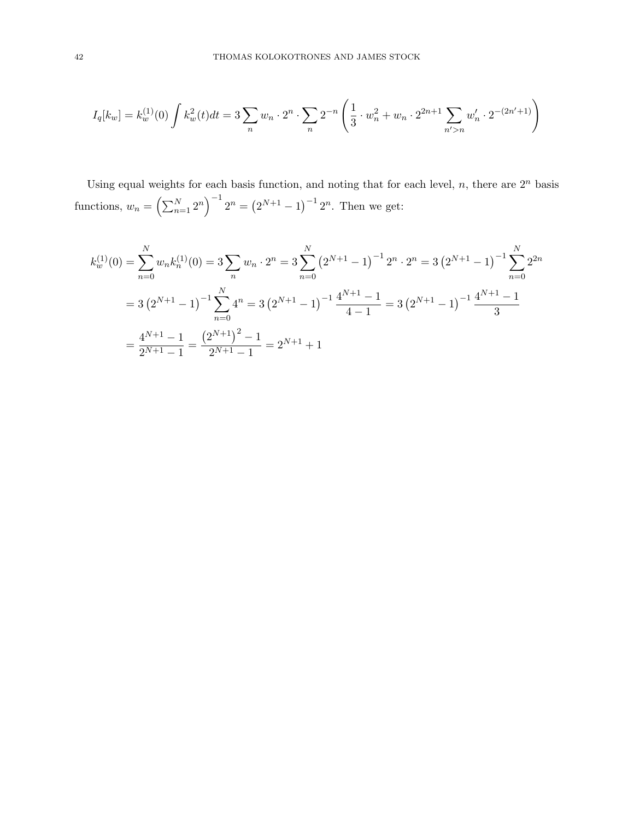$$
I_q[k_w] = k_w^{(1)}(0) \int k_w^{(2)}(t)dt = 3 \sum_n w_n \cdot 2^n \cdot \sum_n 2^{-n} \left( \frac{1}{3} \cdot w_n^2 + w_n \cdot 2^{2n+1} \sum_{n' > n} w_n' \cdot 2^{-(2n'+1)} \right)
$$

Using equal weights for each basis function, and noting that for each level,  $n$ , there are  $2<sup>n</sup>$  basis functions,  $w_n = \left(\sum_{n=1}^N 2^n\right)^{-1} 2^n = \left(2^{N+1} - 1\right)^{-1} 2^n$ . Then we get:

$$
k_w^{(1)}(0) = \sum_{n=0}^{N} w_n k_n^{(1)}(0) = 3 \sum_n w_n \cdot 2^n = 3 \sum_{n=0}^{N} (2^{N+1} - 1)^{-1} 2^n \cdot 2^n = 3 (2^{N+1} - 1)^{-1} \sum_{n=0}^{N} 2^{2n}
$$
  
=  $3 (2^{N+1} - 1)^{-1} \sum_{n=0}^{N} 4^n = 3 (2^{N+1} - 1)^{-1} \frac{4^{N+1} - 1}{4 - 1} = 3 (2^{N+1} - 1)^{-1} \frac{4^{N+1} - 1}{3}$   
=  $\frac{4^{N+1} - 1}{2^{N+1} - 1} = \frac{(2^{N+1})^2 - 1}{2^{N+1} - 1} = 2^{N+1} + 1$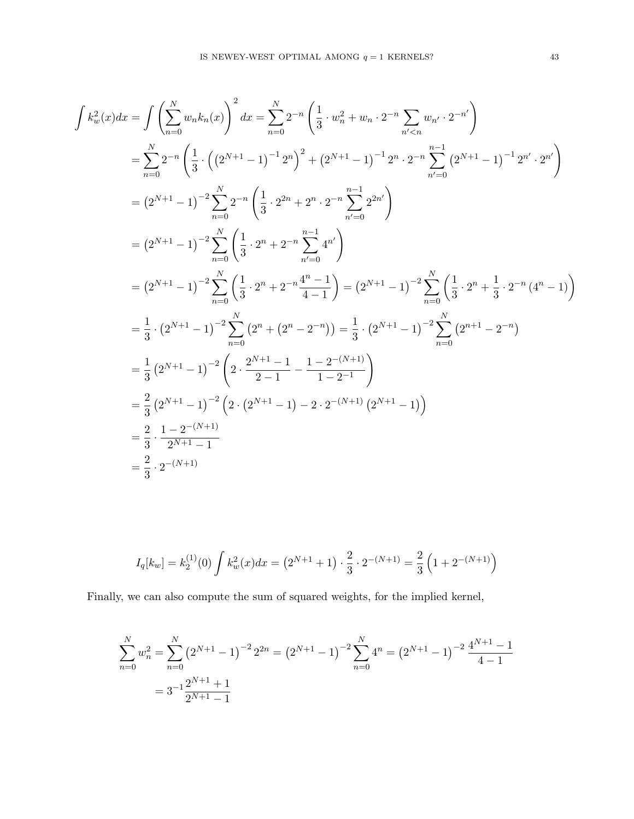$$
\int k_w^2(x)dx = \int \left(\sum_{n=0}^N w_n k_n(x)\right)^2 dx = \sum_{n=0}^N 2^{-n} \left(\frac{1}{3} \cdot w_n^2 + w_n \cdot 2^{-n} \sum_{n' < n} w_{n'} \cdot 2^{-n'}\right)
$$
\n
$$
= \sum_{n=0}^N 2^{-n} \left(\frac{1}{3} \cdot \left(\left(2^{N+1} - 1\right)^{-1} 2^n\right)^2 + \left(2^{N+1} - 1\right)^{-1} 2^n \cdot 2^{-n} \sum_{n'=0}^{n-1} \left(2^{N+1} - 1\right)^{-1} 2^{n'} \cdot 2^{n'}\right)
$$
\n
$$
= \left(2^{N+1} - 1\right)^{-2} \sum_{n=0}^N 2^{-n} \left(\frac{1}{3} \cdot 2^{2n} + 2^{-n} \sum_{n'=0}^{n-1} 2^{2n'}\right)
$$
\n
$$
= \left(2^{N+1} - 1\right)^{-2} \sum_{n=0}^N \left(\frac{1}{3} \cdot 2^n + 2^{-n} \sum_{n'=0}^{n-1} 4^{n'}\right)
$$
\n
$$
= \left(2^{N+1} - 1\right)^{-2} \sum_{n=0}^N \left(\frac{1}{3} \cdot 2^n + 2^{-n} \frac{4^{n-1}}{4-1}\right) = \left(2^{N+1} - 1\right)^{-2} \sum_{n=0}^N \left(\frac{1}{3} \cdot 2^n + \frac{1}{3} \cdot 2^{-n} \cdot 4^{n'} - 1\right)
$$
\n
$$
= \frac{1}{3} \cdot \left(2^{N+1} - 1\right)^{-2} \sum_{n=0}^N \left(2^n + \left(2^n - 2^{-n}\right)\right) = \frac{1}{3} \cdot \left(2^{N+1} - 1\right)^{-2} \sum_{n=0}^N \left(2^{n+1} - 2^{-n}\right)
$$
\n
$$
= \frac{1}{3} \left(2^{N+1} - 1\right)^{-2} \left(2 \cdot \frac{2^{N+1} - 1}{2-1} - \frac{1 - 2^{-(N+1)}}{1 - 2^{-1}}\right)
$$
\n
$$
= \frac{2}{3}
$$

$$
I_q[k_w] = k_2^{(1)}(0) \int k_w^2(x) dx = (2^{N+1} + 1) \cdot \frac{2}{3} \cdot 2^{-(N+1)} = \frac{2}{3} \left( 1 + 2^{-(N+1)} \right)
$$

Finally, we can also compute the sum of squared weights, for the implied kernel,

$$
\sum_{n=0}^{N} w_n^2 = \sum_{n=0}^{N} (2^{N+1} - 1)^{-2} 2^{2n} = (2^{N+1} - 1)^{-2} \sum_{n=0}^{N} 4^n = (2^{N+1} - 1)^{-2} \frac{4^{N+1} - 1}{4 - 1}
$$

$$
= 3^{-1} \frac{2^{N+1} + 1}{2^{N+1} - 1}
$$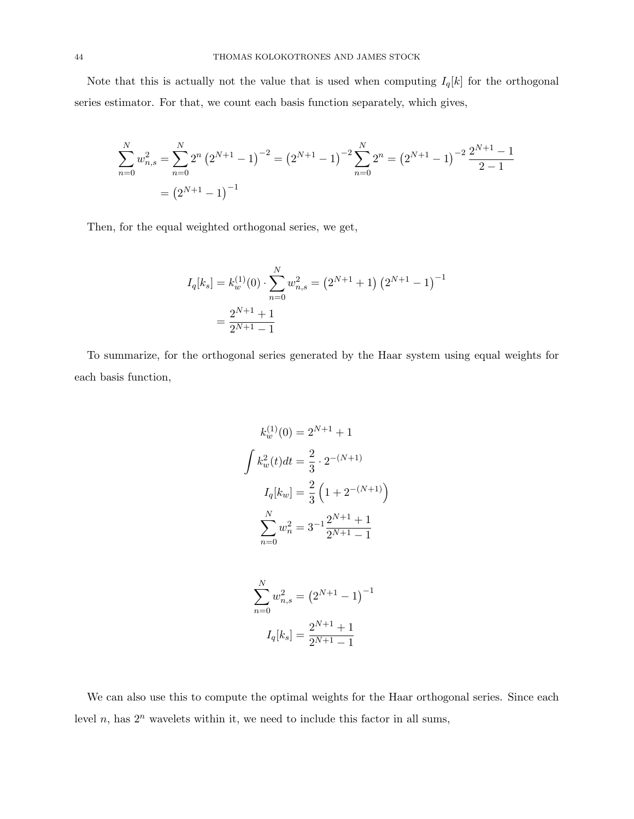Note that this is actually not the value that is used when computing  $I_q[k]$  for the orthogonal series estimator. For that, we count each basis function separately, which gives,

$$
\sum_{n=0}^{N} w_{n,s}^2 = \sum_{n=0}^{N} 2^n (2^{N+1} - 1)^{-2} = (2^{N+1} - 1)^{-2} \sum_{n=0}^{N} 2^n = (2^{N+1} - 1)^{-2} \frac{2^{N+1} - 1}{2 - 1}
$$

$$
= (2^{N+1} - 1)^{-1}
$$

Then, for the equal weighted orthogonal series, we get,

$$
I_q[k_s] = k_w^{(1)}(0) \cdot \sum_{n=0}^{N} w_{n,s}^2 = (2^{N+1} + 1) (2^{N+1} - 1)^{-1}
$$

$$
= \frac{2^{N+1} + 1}{2^{N+1} - 1}
$$

To summarize, for the orthogonal series generated by the Haar system using equal weights for each basis function,

$$
k_w^{(1)}(0) = 2^{N+1} + 1
$$

$$
\int k_w^{2}(t)dt = \frac{2}{3} \cdot 2^{-(N+1)}
$$

$$
I_q[k_w] = \frac{2}{3} \left(1 + 2^{-(N+1)}\right)
$$

$$
\sum_{n=0}^{N} w_n^{2} = 3^{-1} \frac{2^{N+1} + 1}{2^{N+1} - 1}
$$

$$
\sum_{n=0}^{N} w_{n,s}^{2} = \left(2^{N+1} - 1\right)^{-1}
$$

$$
I_q[k_s] = \frac{2^{N+1} + 1}{2^{N+1} - 1}
$$

We can also use this to compute the optimal weights for the Haar orthogonal series. Since each level  $n$ , has  $2^n$  wavelets within it, we need to include this factor in all sums,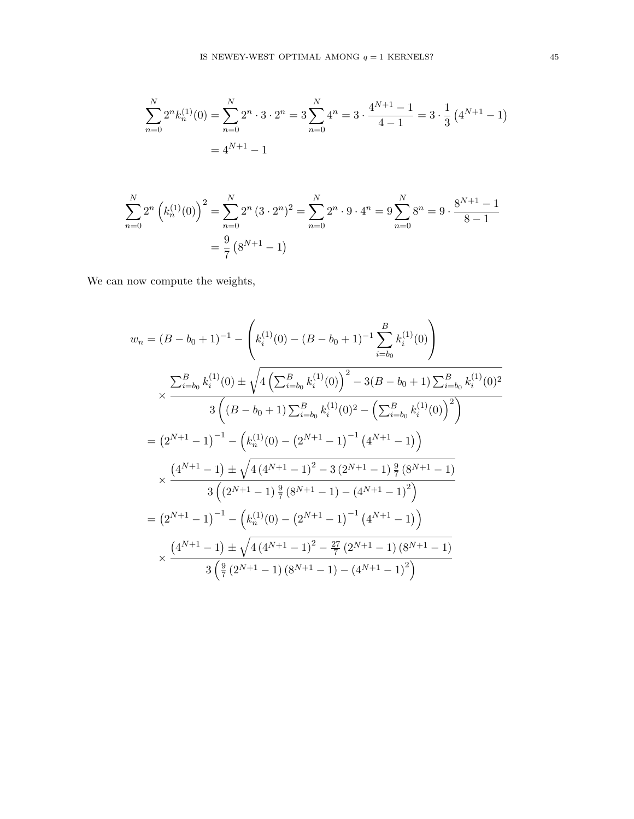$$
\sum_{n=0}^{N} 2^{n} k_{n}^{(1)}(0) = \sum_{n=0}^{N} 2^{n} \cdot 3 \cdot 2^{n} = 3 \sum_{n=0}^{N} 4^{n} = 3 \cdot \frac{4^{N+1} - 1}{4 - 1} = 3 \cdot \frac{1}{3} (4^{N+1} - 1)
$$

$$
= 4^{N+1} - 1
$$

$$
\sum_{n=0}^{N} 2^{n} \left( k_{n}^{(1)}(0) \right)^{2} = \sum_{n=0}^{N} 2^{n} (3 \cdot 2^{n})^{2} = \sum_{n=0}^{N} 2^{n} \cdot 9 \cdot 4^{n} = 9 \sum_{n=0}^{N} 8^{n} = 9 \cdot \frac{8^{N+1} - 1}{8 - 1}
$$

$$
= \frac{9}{7} (8^{N+1} - 1)
$$

We can now compute the weights,

$$
w_n = (B - b_0 + 1)^{-1} - \left(k_i^{(1)}(0) - (B - b_0 + 1)^{-1} \sum_{i=b_0}^{B} k_i^{(1)}(0)\right)
$$
  

$$
\times \frac{\sum_{i=b_0}^{B} k_i^{(1)}(0) \pm \sqrt{4\left(\sum_{i=b_0}^{B} k_i^{(1)}(0)\right)^2 - 3(B - b_0 + 1) \sum_{i=b_0}^{B} k_i^{(1)}(0)^2}
$$
  

$$
= (2^{N+1} - 1)^{-1} - \left(k_n^{(1)}(0) - (2^{N+1} - 1)^{-1} (4^{N+1} - 1)\right)
$$
  

$$
\times \frac{(4^{N+1} - 1) \pm \sqrt{4(4^{N+1} - 1)^2 - 3(2^{N+1} - 1) \frac{9}{7}(8^{N+1} - 1)}}{3\left((2^{N+1} - 1) \frac{9}{7}(8^{N+1} - 1) - (4^{N+1} - 1)^2\right)}
$$
  

$$
= (2^{N+1} - 1)^{-1} - \left(k_n^{(1)}(0) - (2^{N+1} - 1)^{-1} (4^{N+1} - 1)^2\right)
$$
  

$$
\times \frac{(4^{N+1} - 1) \pm \sqrt{4(4^{N+1} - 1)^2 - \frac{27}{7}(2^{N+1} - 1)(8^{N+1} - 1)}}{3\left(\frac{9}{7}(2^{N+1} - 1)(8^{N+1} - 1) - (4^{N+1} - 1)^2\right)}
$$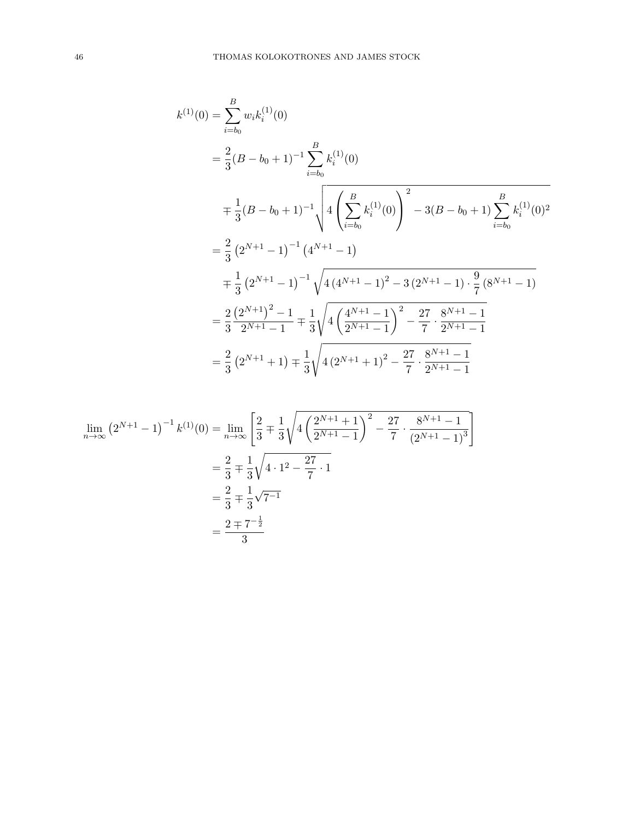$$
k^{(1)}(0) = \sum_{i=b_0}^{B} w_i k_i^{(1)}(0)
$$
  
=  $\frac{2}{3} (B - b_0 + 1)^{-1} \sum_{i=b_0}^{B} k_i^{(1)}(0)$   
=  $\frac{1}{3} (B - b_0 + 1)^{-1} \sqrt{4 \left( \sum_{i=b_0}^{B} k_i^{(1)}(0) \right)^2 - 3(B - b_0 + 1) \sum_{i=b_0}^{B} k_i^{(1)}(0)^2}$   
=  $\frac{2}{3} (2^{N+1} - 1)^{-1} (4^{N+1} - 1)$   
=  $\frac{1}{3} (2^{N+1} - 1)^{-1} \sqrt{4 (4^{N+1} - 1)^2 - 3 (2^{N+1} - 1) \cdot \frac{9}{7} (8^{N+1} - 1)}$   
=  $\frac{2}{3} \frac{(2^{N+1})^2 - 1}{2^{N+1} - 1} \mp \frac{1}{3} \sqrt{4 \left( \frac{4^{N+1} - 1}{2^{N+1} - 1} \right)^2 - \frac{27}{7} \cdot \frac{8^{N+1} - 1}{2^{N+1} - 1}}$   
=  $\frac{2}{3} (2^{N+1} + 1) \mp \frac{1}{3} \sqrt{4 (2^{N+1} + 1)^2 - \frac{27}{7} \cdot \frac{8^{N+1} - 1}{2^{N+1} - 1}}$ 

$$
\lim_{n \to \infty} (2^{N+1} - 1)^{-1} k^{(1)}(0) = \lim_{n \to \infty} \left[ \frac{2}{3} \mp \frac{1}{3} \sqrt{4 \left( \frac{2^{N+1} + 1}{2^{N+1} - 1} \right)^2 - \frac{27}{7} \cdot \frac{8^{N+1} - 1}{(2^{N+1} - 1)^3}} \right]
$$
\n
$$
= \frac{2}{3} \mp \frac{1}{3} \sqrt{4 \cdot 1^2 - \frac{27}{7} \cdot 1}
$$
\n
$$
= \frac{2}{3} \mp \frac{1}{3} \sqrt{7^{-1}}
$$
\n
$$
= \frac{2 \mp 7^{-\frac{1}{2}}}{3}
$$